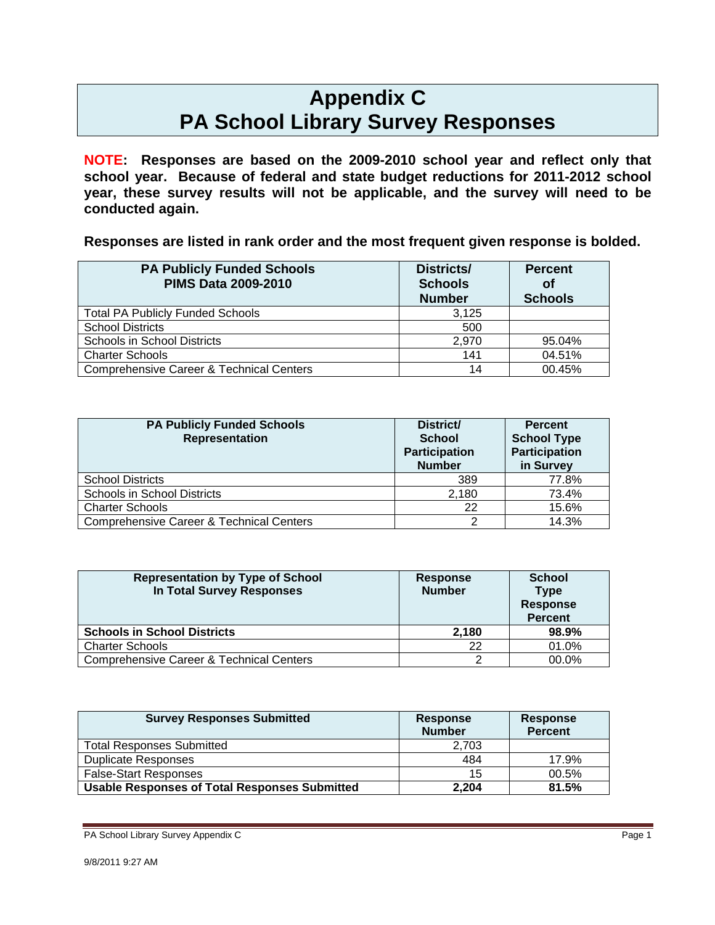# **Appendix C PA School Library Survey Responses**

**NOTE: Responses are based on the 2009-2010 school year and reflect only that school year. Because of federal and state budget reductions for 2011-2012 school year, these survey results will not be applicable, and the survey will need to be conducted again.** 

**Responses are listed in rank order and the most frequent given response is bolded.** 

| <b>PA Publicly Funded Schools</b><br><b>PIMS Data 2009-2010</b> | Districts/<br><b>Schools</b><br><b>Number</b> | <b>Percent</b><br><b>of</b><br><b>Schools</b> |
|-----------------------------------------------------------------|-----------------------------------------------|-----------------------------------------------|
| <b>Total PA Publicly Funded Schools</b>                         | 3,125                                         |                                               |
| <b>School Districts</b>                                         | 500                                           |                                               |
| Schools in School Districts                                     | 2,970                                         | 95.04%                                        |
| <b>Charter Schools</b>                                          | 141                                           | 04.51%                                        |
| <b>Comprehensive Career &amp; Technical Centers</b>             | 14                                            | 00.45%                                        |

| <b>PA Publicly Funded Schools</b><br><b>Representation</b> | District/<br><b>School</b><br><b>Participation</b><br><b>Number</b> | <b>Percent</b><br><b>School Type</b><br><b>Participation</b><br>in Survey |
|------------------------------------------------------------|---------------------------------------------------------------------|---------------------------------------------------------------------------|
| <b>School Districts</b>                                    | 389                                                                 | 77.8%                                                                     |
| <b>Schools in School Districts</b>                         | 2.180                                                               | 73.4%                                                                     |
| <b>Charter Schools</b>                                     | 22                                                                  | 15.6%                                                                     |
| <b>Comprehensive Career &amp; Technical Centers</b>        | $\mathcal{P}$                                                       | 14.3%                                                                     |

| <b>Representation by Type of School</b><br>In Total Survey Responses | <b>Response</b><br><b>Number</b> | <b>School</b><br><b>Type</b><br><b>Response</b><br><b>Percent</b> |
|----------------------------------------------------------------------|----------------------------------|-------------------------------------------------------------------|
| <b>Schools in School Districts</b>                                   | 2.180                            | 98.9%                                                             |
| <b>Charter Schools</b>                                               | 22                               | 01.0%                                                             |
| <b>Comprehensive Career &amp; Technical Centers</b>                  |                                  | 00.0%                                                             |

| <b>Survey Responses Submitted</b>                    | <b>Response</b><br><b>Number</b> | <b>Response</b><br><b>Percent</b> |
|------------------------------------------------------|----------------------------------|-----------------------------------|
| <b>Total Responses Submitted</b>                     | 2.703                            |                                   |
| <b>Duplicate Responses</b>                           | 484                              | 17.9%                             |
| <b>False-Start Responses</b>                         | 15                               | 00.5%                             |
| <b>Usable Responses of Total Responses Submitted</b> | 2,204                            | 81.5%                             |

PA School Library Survey Appendix C **Page 1 Page 1**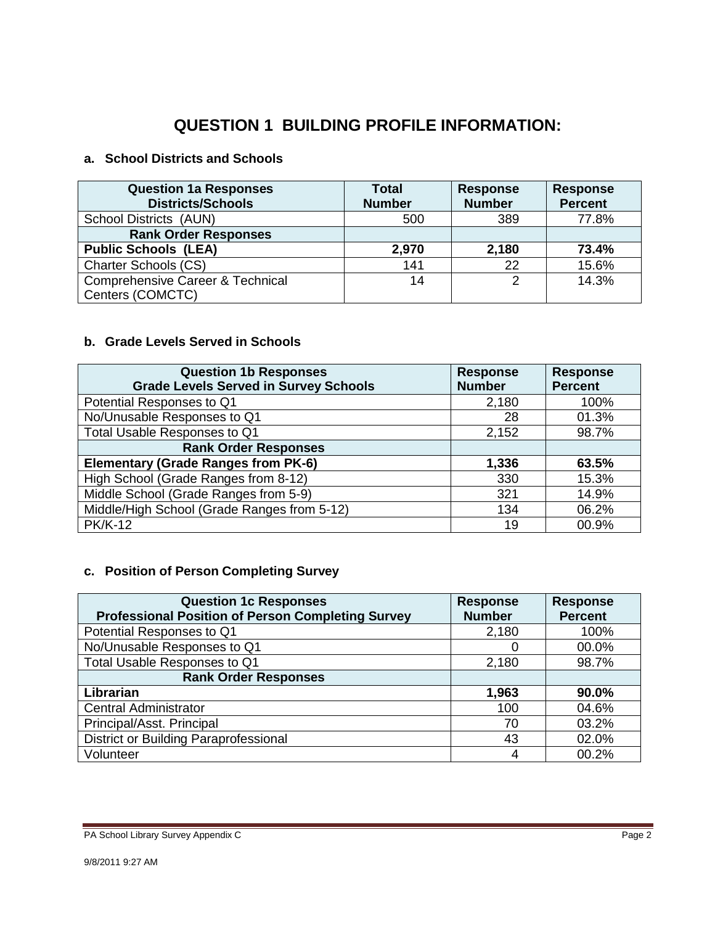## **QUESTION 1 BUILDING PROFILE INFORMATION:**

#### **a. School Districts and Schools**

| <b>Question 1a Responses</b><br><b>Districts/Schools</b>        | <b>Total</b><br><b>Number</b> | <b>Response</b><br><b>Number</b> | <b>Response</b><br><b>Percent</b> |
|-----------------------------------------------------------------|-------------------------------|----------------------------------|-----------------------------------|
| School Districts (AUN)                                          | 500                           | 389                              | 77.8%                             |
| <b>Rank Order Responses</b>                                     |                               |                                  |                                   |
| <b>Public Schools (LEA)</b>                                     | 2,970                         | 2,180                            | 73.4%                             |
| <b>Charter Schools (CS)</b>                                     | 141                           | 22                               | 15.6%                             |
| <b>Comprehensive Career &amp; Technical</b><br>Centers (COMCTC) | 14                            | 2                                | 14.3%                             |

#### **b. Grade Levels Served in Schools**

| <b>Question 1b Responses</b><br><b>Grade Levels Served in Survey Schools</b> | <b>Response</b><br><b>Number</b> | <b>Response</b><br><b>Percent</b> |
|------------------------------------------------------------------------------|----------------------------------|-----------------------------------|
| Potential Responses to Q1                                                    | 2,180                            | 100%                              |
| No/Unusable Responses to Q1                                                  | 28                               | 01.3%                             |
| Total Usable Responses to Q1                                                 | 2,152                            | 98.7%                             |
| <b>Rank Order Responses</b>                                                  |                                  |                                   |
| <b>Elementary (Grade Ranges from PK-6)</b>                                   | 1,336                            | 63.5%                             |
| High School (Grade Ranges from 8-12)                                         | 330                              | 15.3%                             |
| Middle School (Grade Ranges from 5-9)                                        | 321                              | 14.9%                             |
| Middle/High School (Grade Ranges from 5-12)                                  | 134                              | 06.2%                             |
| <b>PK/K-12</b>                                                               | 19                               | 00.9%                             |

#### **c. Position of Person Completing Survey**

| <b>Question 1c Responses</b>                             | <b>Response</b> | <b>Response</b> |
|----------------------------------------------------------|-----------------|-----------------|
| <b>Professional Position of Person Completing Survey</b> | <b>Number</b>   | <b>Percent</b>  |
| Potential Responses to Q1                                | 2,180           | 100%            |
| No/Unusable Responses to Q1                              |                 | 00.0%           |
| Total Usable Responses to Q1                             | 2,180           | 98.7%           |
| <b>Rank Order Responses</b>                              |                 |                 |
| Librarian                                                | 1,963           | 90.0%           |
| <b>Central Administrator</b>                             | 100             | 04.6%           |
| Principal/Asst. Principal                                | 70              | 03.2%           |
| <b>District or Building Paraprofessional</b>             | 43              | 02.0%           |
| Volunteer                                                |                 | 00.2%           |

PA School Library Survey Appendix C Page 2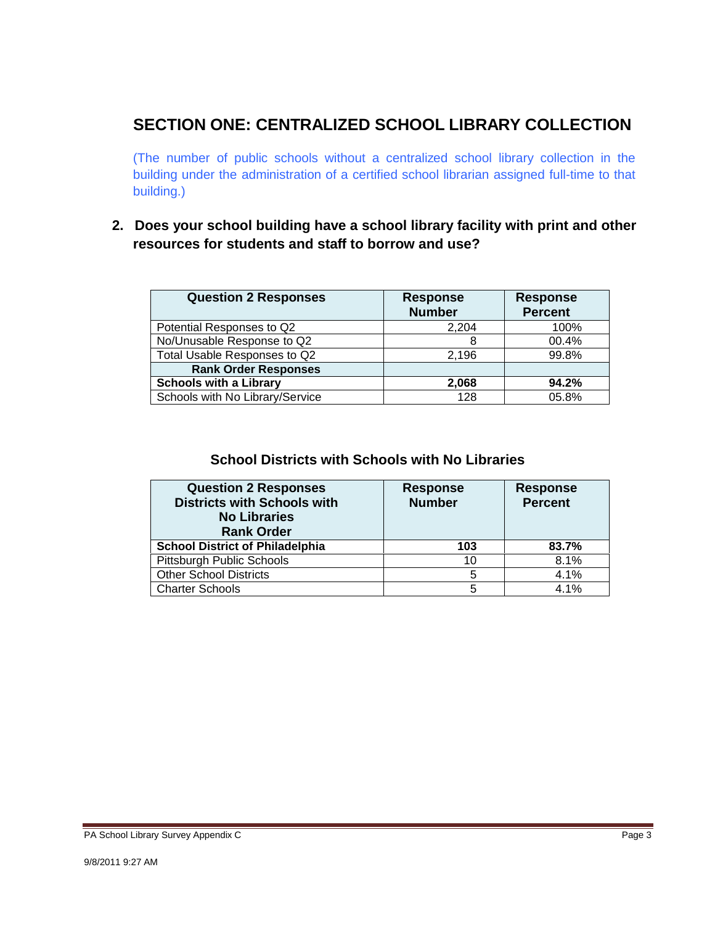### **SECTION ONE: CENTRALIZED SCHOOL LIBRARY COLLECTION**

(The number of public schools without a centralized school library collection in the building under the administration of a certified school librarian assigned full-time to that building.)

### **2. Does your school building have a school library facility with print and other resources for students and staff to borrow and use?**

| <b>Question 2 Responses</b>     | <b>Response</b><br><b>Number</b> | <b>Response</b><br><b>Percent</b> |
|---------------------------------|----------------------------------|-----------------------------------|
| Potential Responses to Q2       | 2.204                            | 100%                              |
| No/Unusable Response to Q2      | 8                                | 00.4%                             |
| Total Usable Responses to Q2    | 2.196                            | 99.8%                             |
| <b>Rank Order Responses</b>     |                                  |                                   |
| <b>Schools with a Library</b>   | 2,068                            | 94.2%                             |
| Schools with No Library/Service | 128                              | 05.8%                             |

#### **School Districts with Schools with No Libraries**

| <b>Question 2 Responses</b><br><b>Districts with Schools with</b><br><b>No Libraries</b><br><b>Rank Order</b> | <b>Response</b><br><b>Number</b> | <b>Response</b><br><b>Percent</b> |
|---------------------------------------------------------------------------------------------------------------|----------------------------------|-----------------------------------|
| <b>School District of Philadelphia</b>                                                                        | 103                              | 83.7%                             |
| Pittsburgh Public Schools                                                                                     | 10                               | 8.1%                              |
| <b>Other School Districts</b>                                                                                 | 5                                | 4.1%                              |
| <b>Charter Schools</b>                                                                                        | 5                                | 4.1%                              |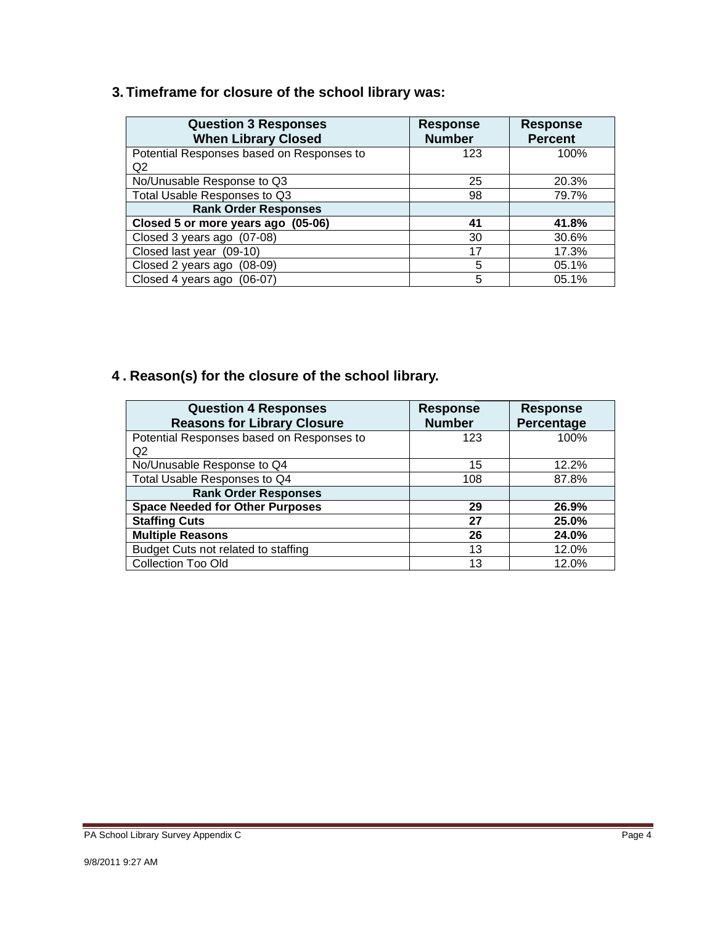### **3. Timeframe for closure of the school library was:**

| <b>Question 3 Responses</b><br><b>When Library Closed</b> | <b>Response</b><br><b>Number</b> | <b>Response</b><br><b>Percent</b> |
|-----------------------------------------------------------|----------------------------------|-----------------------------------|
| Potential Responses based on Responses to                 | 123                              | 100%                              |
| Q <sub>2</sub>                                            |                                  |                                   |
| No/Unusable Response to Q3                                | 25                               | 20.3%                             |
| Total Usable Responses to Q3                              | 98                               | 79.7%                             |
| <b>Rank Order Responses</b>                               |                                  |                                   |
| Closed 5 or more years ago (05-06)                        | 41                               | 41.8%                             |
| Closed 3 years ago (07-08)                                | 30                               | 30.6%                             |
| Closed last year (09-10)                                  | 17                               | 17.3%                             |
| Closed 2 years ago<br>$(08-09)$                           | 5                                | 05.1%                             |
| Closed 4 years ago (06-07)                                | 5                                | 05.1%                             |

## **4 . Reason(s) for the closure of the school library.**

| <b>Question 4 Responses</b><br><b>Reasons for Library Closure</b> | <b>Response</b><br><b>Number</b> | <b>Response</b><br><b>Percentage</b> |
|-------------------------------------------------------------------|----------------------------------|--------------------------------------|
| Potential Responses based on Responses to                         | 123                              | 100%                                 |
| Q <sub>2</sub>                                                    |                                  |                                      |
| No/Unusable Response to Q4                                        | 15                               | 12.2%                                |
| Total Usable Responses to Q4                                      | 108                              | 87.8%                                |
| <b>Rank Order Responses</b>                                       |                                  |                                      |
| <b>Space Needed for Other Purposes</b>                            | 29                               | 26.9%                                |
| <b>Staffing Cuts</b>                                              | 27                               | 25.0%                                |
| <b>Multiple Reasons</b>                                           | 26                               | 24.0%                                |
| Budget Cuts not related to staffing                               | 13                               | 12.0%                                |
| <b>Collection Too Old</b>                                         | 13                               | 12.0%                                |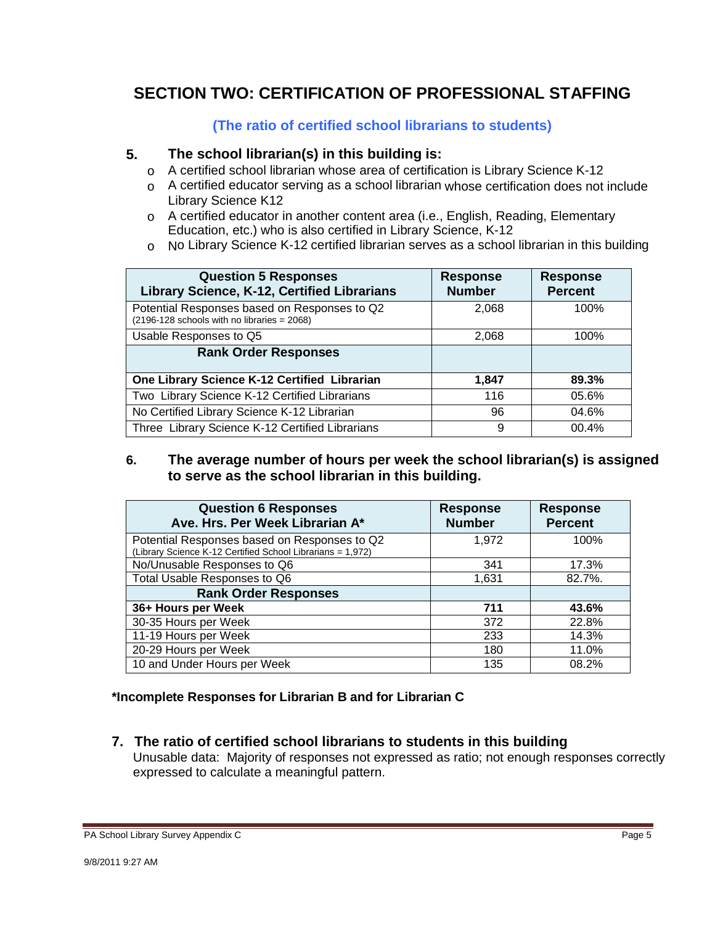### **SECTION TWO: CERTIFICATION OF PROFESSIONAL STAFFING**

**(The ratio of certified school librarians to students)** 

#### **5. The school librarian(s) in this building is:**

- o A certified school librarian whose area of certification is Library Science K-12
- $\circ$  A certified educator serving as a school librarian whose certification does not include Library Science K12
- $\circ$  A certified educator in another content area (i.e., English, Reading, Elementary Education, etc.) who is also certified in Library Science, K-12
- $\circ$  No Library Science K-12 certified librarian serves as a school librarian in this building

| <b>Question 5 Responses</b><br>Library Science, K-12, Certified Librarians                    | <b>Response</b><br><b>Number</b> | <b>Response</b><br><b>Percent</b> |
|-----------------------------------------------------------------------------------------------|----------------------------------|-----------------------------------|
| Potential Responses based on Responses to Q2<br>$(2196-128$ schools with no libraries = 2068) | 2,068                            | 100%                              |
| Usable Responses to Q5                                                                        | 2,068                            | 100%                              |
| <b>Rank Order Responses</b>                                                                   |                                  |                                   |
| One Library Science K-12 Certified Librarian                                                  | 1,847                            | 89.3%                             |
| Two Library Science K-12 Certified Librarians                                                 | 116                              | 05.6%                             |
| No Certified Library Science K-12 Librarian                                                   | 96                               | 04.6%                             |
| Three Library Science K-12 Certified Librarians                                               | 9                                | 00.4%                             |

#### **6. The average number of hours per week the school librarian(s) is assigned to serve as the school librarian in this building.**

| <b>Question 6 Responses</b><br>Ave. Hrs. Per Week Librarian A*                                             | <b>Response</b><br><b>Number</b> | <b>Response</b><br><b>Percent</b> |
|------------------------------------------------------------------------------------------------------------|----------------------------------|-----------------------------------|
| Potential Responses based on Responses to Q2<br>(Library Science K-12 Certified School Librarians = 1,972) | 1,972                            | 100%                              |
| No/Unusable Responses to Q6                                                                                | 341                              | 17.3%                             |
| Total Usable Responses to Q6                                                                               | 1,631                            | 82.7%.                            |
| <b>Rank Order Responses</b>                                                                                |                                  |                                   |
| 36+ Hours per Week                                                                                         | 711                              | 43.6%                             |
| 30-35 Hours per Week                                                                                       | 372                              | 22.8%                             |
| 11-19 Hours per Week                                                                                       | 233                              | 14.3%                             |
| 20-29 Hours per Week                                                                                       | 180                              | 11.0%                             |
| 10 and Under Hours per Week                                                                                | 135                              | 08.2%                             |

#### **\*Incomplete Responses for Librarian B and for Librarian C**

**7. The ratio of certified school librarians to students in this building** 

expressed to calculate a meaningful pattern. Unusable data: Majority of responses not expressed as ratio; not enough responses correctly expressed to calculate a meaningful pattern.<br>PA School Library Survey Appendix C Page 5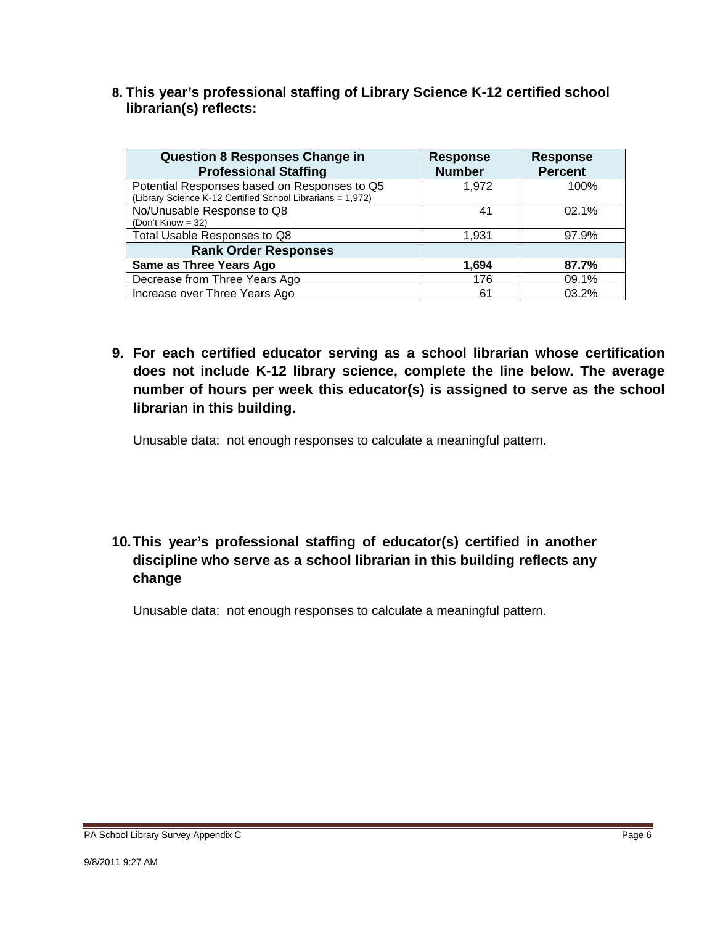**8. This year's professional staffing of Library Science K-12 certified school librarian(s) reflects:** 

| <b>Question 8 Responses Change in</b><br><b>Professional Staffing</b>                                      | <b>Response</b><br><b>Number</b> | <b>Response</b><br><b>Percent</b> |
|------------------------------------------------------------------------------------------------------------|----------------------------------|-----------------------------------|
| Potential Responses based on Responses to Q5<br>(Library Science K-12 Certified School Librarians = 1,972) | 1.972                            | 100%                              |
| No/Unusable Response to Q8<br>(Don't Know = $32$ )                                                         | 41                               | 02.1%                             |
| Total Usable Responses to Q8                                                                               | 1.931                            | 97.9%                             |
| <b>Rank Order Responses</b>                                                                                |                                  |                                   |
| Same as Three Years Ago                                                                                    | 1,694                            | 87.7%                             |
| Decrease from Three Years Ago                                                                              | 176                              | 09.1%                             |
| Increase over Three Years Ago                                                                              | 61                               | 03.2%                             |

**9. For each certified educator serving as a school librarian whose certification does not include K-12 library science, complete the line below. The average number of hours per week this educator(s) is assigned to serve as the school librarian in this building.** 

Unusable data: not enough responses to calculate a meaningful pattern.

### **10.This year's professional staffing of educator(s) certified in another discipline who serve as a school librarian in this building reflects any change**

Unusable data: not enough responses to calculate a meaningful pattern.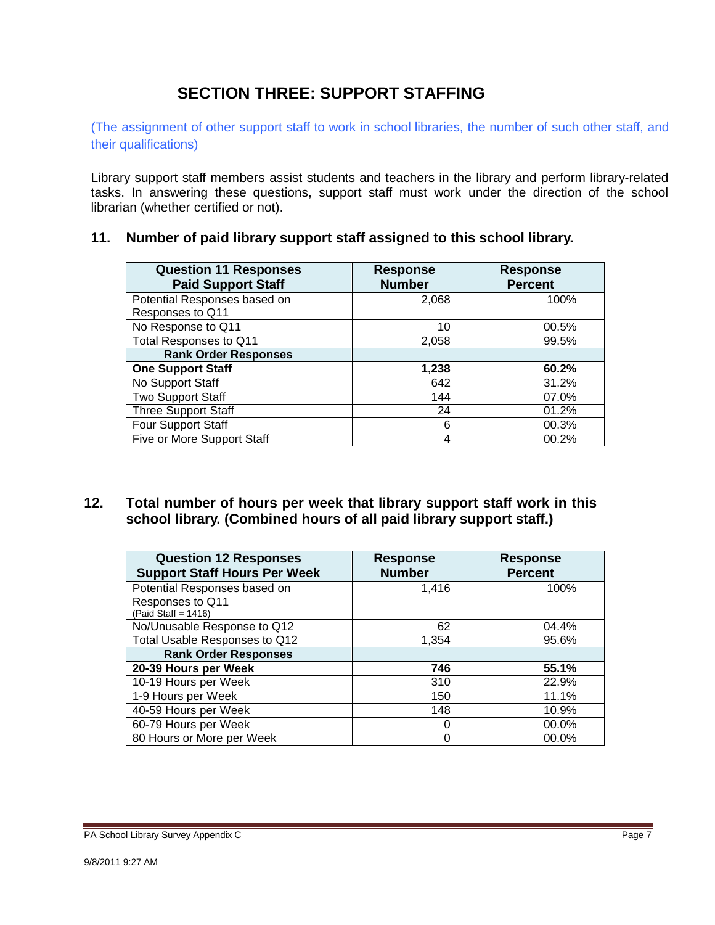### **SECTION THREE: SUPPORT STAFFING**

(The assignment of other support staff to work in school libraries, the number of such other staff, and their qualifications)

Library support staff members assist students and teachers in the library and perform library-related tasks. In answering these questions, support staff must work under the direction of the school librarian (whether certified or not).

|  |  |  |  |  | 11. Number of paid library support staff assigned to this school library. |
|--|--|--|--|--|---------------------------------------------------------------------------|
|--|--|--|--|--|---------------------------------------------------------------------------|

| <b>Question 11 Responses</b><br><b>Paid Support Staff</b> | <b>Response</b><br><b>Number</b> | <b>Response</b><br><b>Percent</b> |
|-----------------------------------------------------------|----------------------------------|-----------------------------------|
| Potential Responses based on                              | 2,068                            | 100%                              |
| Responses to Q11                                          |                                  |                                   |
| No Response to Q11                                        | 10                               | 00.5%                             |
| Total Responses to Q11                                    | 2,058                            | 99.5%                             |
| <b>Rank Order Responses</b>                               |                                  |                                   |
| <b>One Support Staff</b>                                  | 1,238                            | 60.2%                             |
| No Support Staff                                          | 642                              | 31.2%                             |
| <b>Two Support Staff</b>                                  | 144                              | 07.0%                             |
| <b>Three Support Staff</b>                                | 24                               | 01.2%                             |
| Four Support Staff                                        | 6                                | 00.3%                             |
| Five or More Support Staff                                | 4                                | 00.2%                             |

#### **12. Total number of hours per week that library support staff work in this school library. (Combined hours of all paid library support staff.)**

| <b>Question 12 Responses</b><br><b>Support Staff Hours Per Week</b> | <b>Response</b><br><b>Number</b> | <b>Response</b><br><b>Percent</b> |
|---------------------------------------------------------------------|----------------------------------|-----------------------------------|
| Potential Responses based on                                        | 1.416                            | 100%                              |
| Responses to Q11<br>(Paid Staff = $1416$ )                          |                                  |                                   |
| No/Unusable Response to Q12                                         | 62                               | 04.4%                             |
| Total Usable Responses to Q12                                       | 1,354                            | 95.6%                             |
| <b>Rank Order Responses</b>                                         |                                  |                                   |
| 20-39 Hours per Week                                                | 746                              | 55.1%                             |
| 10-19 Hours per Week                                                | 310                              | 22.9%                             |
| 1-9 Hours per Week                                                  | 150                              | 11.1%                             |
| 40-59 Hours per Week                                                | 148                              | 10.9%                             |
| 60-79 Hours per Week                                                | 0                                | $00.0\%$                          |
| 80 Hours or More per Week                                           | Ω                                | 00.0%                             |

PA School Library Survey Appendix C **Page 7**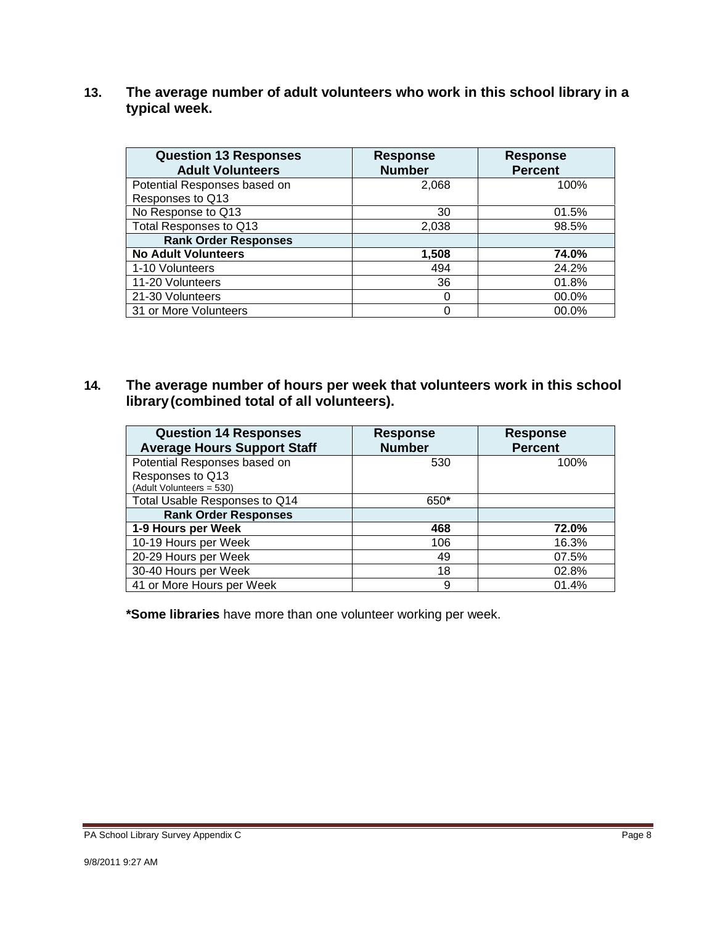**13. The average number of adult volunteers who work in this school library in a typical week.** 

| <b>Question 13 Responses</b><br><b>Adult Volunteers</b> | <b>Response</b><br><b>Number</b> | <b>Response</b><br><b>Percent</b> |
|---------------------------------------------------------|----------------------------------|-----------------------------------|
| Potential Responses based on                            | 2,068                            | 100%                              |
| Responses to Q13                                        |                                  |                                   |
| No Response to Q13                                      | 30                               | 01.5%                             |
| Total Responses to Q13                                  | 2,038                            | 98.5%                             |
| <b>Rank Order Responses</b>                             |                                  |                                   |
| <b>No Adult Volunteers</b>                              | 1,508                            | 74.0%                             |
| 1-10 Volunteers                                         | 494                              | 24.2%                             |
| 11-20 Volunteers                                        | 36                               | 01.8%                             |
| 21-30 Volunteers                                        | 0                                | 00.0%                             |
| 31 or More Volunteers                                   |                                  | 00.0%                             |

**14. The average number of hours per week that volunteers work in this school library(combined total of all volunteers).** 

| <b>Question 14 Responses</b><br><b>Average Hours Support Staff</b>           | <b>Response</b><br><b>Number</b> | <b>Response</b><br><b>Percent</b> |
|------------------------------------------------------------------------------|----------------------------------|-----------------------------------|
| Potential Responses based on<br>Responses to Q13<br>(Adult Volunteers = 530) | 530                              | 100%                              |
| Total Usable Responses to Q14                                                | 650*                             |                                   |
| <b>Rank Order Responses</b>                                                  |                                  |                                   |
| 1-9 Hours per Week                                                           | 468                              | 72.0%                             |
| 10-19 Hours per Week                                                         | 106                              | 16.3%                             |
| 20-29 Hours per Week                                                         | 49                               | 07.5%                             |
| 30-40 Hours per Week                                                         | 18                               | 02.8%                             |
| 41 or More Hours per Week                                                    | 9                                | 01.4%                             |

**\*Some libraries** have more than one volunteer working per week.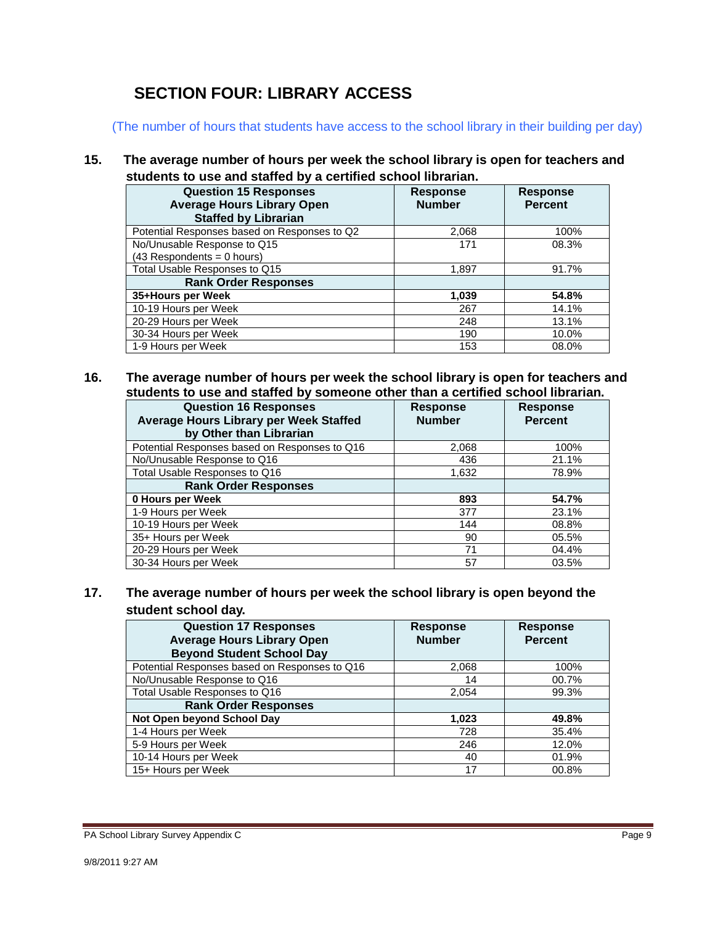## **SECTION FOUR: LIBRARY ACCESS**

(The number of hours that students have access to the school library in their building per day)

**15. The average number of hours per week the school library is open for teachers and students to use and staffed by a certified school librarian.** 

| <b>Question 15 Responses</b>                 | Response      | <b>Response</b> |
|----------------------------------------------|---------------|-----------------|
| <b>Average Hours Library Open</b>            | <b>Number</b> | <b>Percent</b>  |
| <b>Staffed by Librarian</b>                  |               |                 |
| Potential Responses based on Responses to Q2 | 2,068         | 100%            |
| No/Unusable Response to Q15                  | 171           | 08.3%           |
| $(43$ Respondents = 0 hours)                 |               |                 |
| Total Usable Responses to Q15                | 1,897         | 91.7%           |
| <b>Rank Order Responses</b>                  |               |                 |
| 35+Hours per Week                            | 1,039         | 54.8%           |
| 10-19 Hours per Week                         | 267           | 14.1%           |
| 20-29 Hours per Week                         | 248           | 13.1%           |
| 30-34 Hours per Week                         | 190           | 10.0%           |
| 1-9 Hours per Week                           | 153           | 08.0%           |

**16. The average number of hours per week the school library is open for teachers and students to use and staffed by someone other than a certified school librarian.** 

| <b>Question 16 Responses</b><br>Average Hours Library per Week Staffed<br>by Other than Librarian | <b>Response</b><br><b>Number</b> | <b>Response</b><br><b>Percent</b> |
|---------------------------------------------------------------------------------------------------|----------------------------------|-----------------------------------|
| Potential Responses based on Responses to Q16                                                     | 2,068                            | 100%                              |
| No/Unusable Response to Q16                                                                       | 436                              | 21.1%                             |
| Total Usable Responses to Q16                                                                     | 1,632                            | 78.9%                             |
| <b>Rank Order Responses</b>                                                                       |                                  |                                   |
| 0 Hours per Week                                                                                  | 893                              | 54.7%                             |
| 1-9 Hours per Week                                                                                | 377                              | 23.1%                             |
| 10-19 Hours per Week                                                                              | 144                              | 08.8%                             |
| 35+ Hours per Week                                                                                | 90                               | 05.5%                             |
| 20-29 Hours per Week                                                                              | 71                               | 04.4%                             |
| 30-34 Hours per Week                                                                              | 57                               | 03.5%                             |

#### **17. The average number of hours per week the school library is open beyond the student school day.**

| <b>Question 17 Responses</b><br><b>Average Hours Library Open</b><br><b>Beyond Student School Day</b> | <b>Response</b><br><b>Number</b> | <b>Response</b><br><b>Percent</b> |
|-------------------------------------------------------------------------------------------------------|----------------------------------|-----------------------------------|
| Potential Responses based on Responses to Q16                                                         | 2,068                            | 100%                              |
| No/Unusable Response to Q16                                                                           | 14                               | 00.7%                             |
| Total Usable Responses to Q16                                                                         | 2,054                            | 99.3%                             |
| <b>Rank Order Responses</b>                                                                           |                                  |                                   |
| Not Open beyond School Day                                                                            | 1,023                            | 49.8%                             |
| 1-4 Hours per Week                                                                                    | 728                              | 35.4%                             |
| 5-9 Hours per Week                                                                                    | 246                              | 12.0%                             |
| 10-14 Hours per Week                                                                                  | 40                               | 01.9%                             |
| 15+ Hours per Week                                                                                    | 17                               | 00.8%                             |

PA School Library Survey Appendix C **Page 9**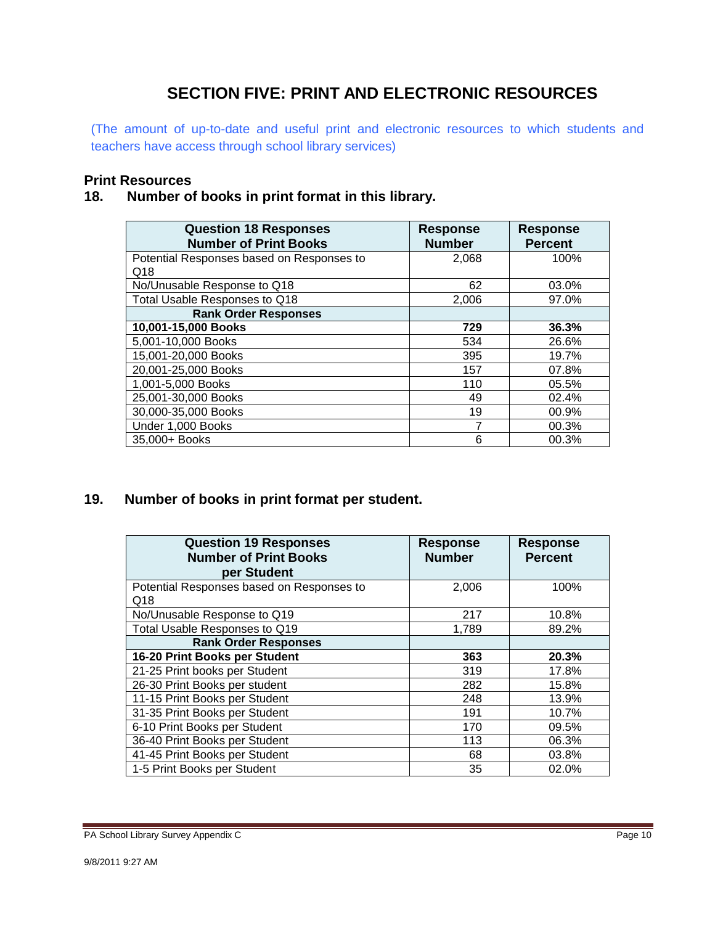## **SECTION FIVE: PRINT AND ELECTRONIC RESOURCES**

(The amount of up-to-date and useful print and electronic resources to which students and teachers have access through school library services)

#### **Print Resources**

#### **18. Number of books in print format in this library.**

| <b>Question 18 Responses</b><br><b>Number of Print Books</b> | <b>Response</b><br><b>Number</b> | <b>Response</b><br><b>Percent</b> |
|--------------------------------------------------------------|----------------------------------|-----------------------------------|
| Potential Responses based on Responses to                    | 2,068                            | 100%                              |
| Q18                                                          |                                  |                                   |
| No/Unusable Response to Q18                                  | 62                               | 03.0%                             |
| Total Usable Responses to Q18                                | 2,006                            | 97.0%                             |
| <b>Rank Order Responses</b>                                  |                                  |                                   |
| 10,001-15,000 Books                                          | 729                              | 36.3%                             |
| 5,001-10,000 Books                                           | 534                              | 26.6%                             |
| 15,001-20,000 Books                                          | 395                              | 19.7%                             |
| 20,001-25,000 Books                                          | 157                              | 07.8%                             |
| 1,001-5,000 Books                                            | 110                              | 05.5%                             |
| 25,001-30,000 Books                                          | 49                               | 02.4%                             |
| 30,000-35,000 Books                                          | 19                               | 00.9%                             |
| Under 1,000 Books                                            | 7                                | 00.3%                             |
| 35,000+ Books                                                | 6                                | 00.3%                             |

#### **19. 19. Number of books in print format per student.**

| <b>Question 19 Responses</b><br><b>Number of Print Books</b><br>per Student | <b>Response</b><br><b>Number</b> | <b>Response</b><br><b>Percent</b> |
|-----------------------------------------------------------------------------|----------------------------------|-----------------------------------|
| Potential Responses based on Responses to                                   | 2,006                            | 100%                              |
| Q18                                                                         |                                  |                                   |
| No/Unusable Response to Q19                                                 | 217                              | 10.8%                             |
| Total Usable Responses to Q19                                               | 1,789                            | 89.2%                             |
| <b>Rank Order Responses</b>                                                 |                                  |                                   |
| 16-20 Print Books per Student                                               | 363                              | 20.3%                             |
| 21-25 Print books per Student                                               | 319                              | 17.8%                             |
| 26-30 Print Books per student                                               | 282                              | 15.8%                             |
| 11-15 Print Books per Student                                               | 248                              | 13.9%                             |
| 31-35 Print Books per Student                                               | 191                              | 10.7%                             |
| 6-10 Print Books per Student                                                | 170                              | 09.5%                             |
| 36-40 Print Books per Student                                               | 113                              | 06.3%                             |
| 41-45 Print Books per Student                                               | 68                               | 03.8%                             |
| 1-5 Print Books per Student                                                 | 35                               | 02.0%                             |

PA School Library Survey Appendix C **PA School Library Survey Appendix C** Page 10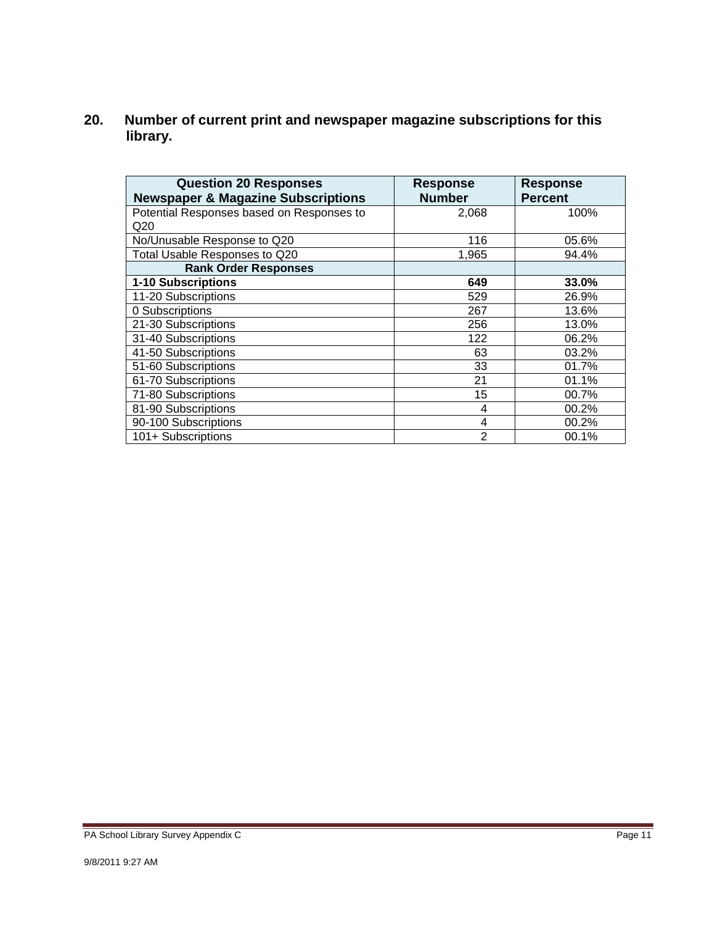**20. Number of current print and newspaper magazine subscriptions for this library.** 

| <b>Question 20 Responses</b>                  | <b>Response</b> | <b>Response</b> |
|-----------------------------------------------|-----------------|-----------------|
| <b>Newspaper &amp; Magazine Subscriptions</b> | <b>Number</b>   | <b>Percent</b>  |
| Potential Responses based on Responses to     | 2,068           | 100%            |
| Q20                                           |                 |                 |
| No/Unusable Response to Q20                   | 116             | 05.6%           |
| Total Usable Responses to Q20                 | 1,965           | 94.4%           |
| <b>Rank Order Responses</b>                   |                 |                 |
| 1-10 Subscriptions                            | 649             | 33.0%           |
| 11-20 Subscriptions                           | 529             | 26.9%           |
| 0 Subscriptions                               | 267             | 13.6%           |
| 21-30 Subscriptions                           | 256             | 13.0%           |
| 31-40 Subscriptions                           | 122             | 06.2%           |
| 41-50 Subscriptions                           | 63              | 03.2%           |
| 51-60 Subscriptions                           | 33              | 01.7%           |
| 61-70 Subscriptions                           | 21              | 01.1%           |
| 71-80 Subscriptions                           | 15              | 00.7%           |
| 81-90 Subscriptions                           | 4               | 00.2%           |
| 90-100 Subscriptions                          | 4               | 00.2%           |
| 101+ Subscriptions                            | $\mathfrak{p}$  | 00.1%           |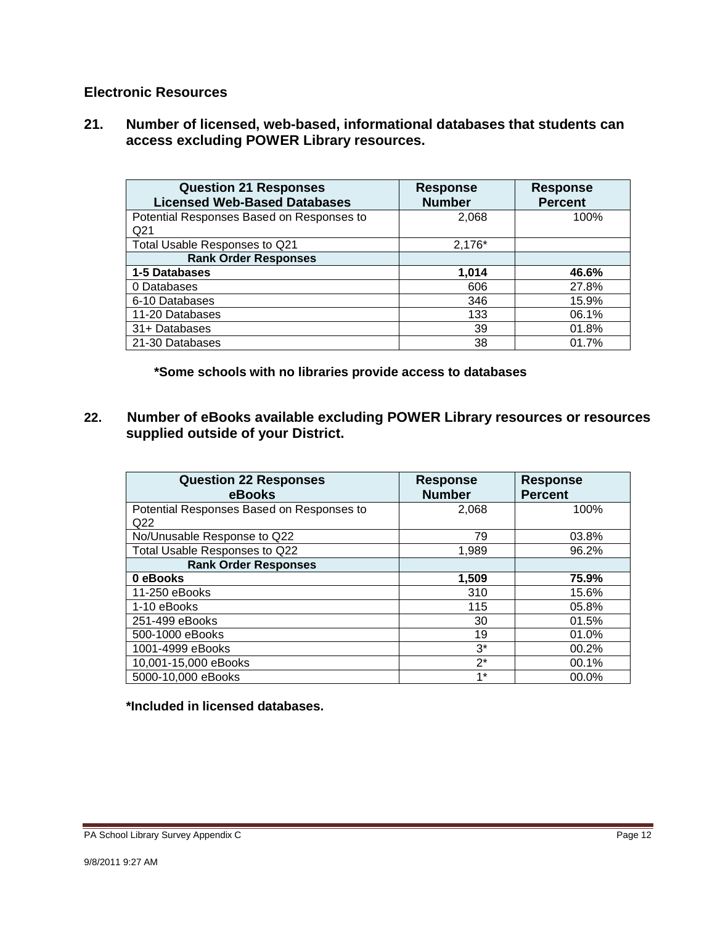#### **Electronic Resources**

**21. Number of licensed, web-based, informational databases that students can access excluding POWER Library resources.** 

| <b>Question 21 Responses</b><br><b>Licensed Web-Based Databases</b> | <b>Response</b><br><b>Number</b> | <b>Response</b><br><b>Percent</b> |
|---------------------------------------------------------------------|----------------------------------|-----------------------------------|
| Potential Responses Based on Responses to<br>Q <sub>21</sub>        | 2,068                            | 100%                              |
| Total Usable Responses to Q21                                       | $2,176*$                         |                                   |
| <b>Rank Order Responses</b>                                         |                                  |                                   |
| 1-5 Databases                                                       | 1,014                            | 46.6%                             |
| 0 Databases                                                         | 606                              | 27.8%                             |
| 6-10 Databases                                                      | 346                              | 15.9%                             |
| 11-20 Databases                                                     | 133                              | 06.1%                             |
| 31+ Databases                                                       | 39                               | 01.8%                             |
| 21-30 Databases                                                     | 38                               | 01.7%                             |

**\*Some schools with no libraries provide access to databases** 

**22. Number of eBooks available excluding POWER Library resources or resources supplied outside of your District.** 

| <b>Question 22 Responses</b><br>eBooks    | <b>Response</b><br><b>Number</b> | <b>Response</b><br><b>Percent</b> |
|-------------------------------------------|----------------------------------|-----------------------------------|
| Potential Responses Based on Responses to | 2,068                            | 100%                              |
| Q <sub>22</sub>                           |                                  |                                   |
| No/Unusable Response to Q22               | 79                               | 03.8%                             |
| Total Usable Responses to Q22             | 1,989                            | 96.2%                             |
| <b>Rank Order Responses</b>               |                                  |                                   |
| 0 eBooks                                  | 1,509                            | 75.9%                             |
| 11-250 eBooks                             | 310                              | 15.6%                             |
| 1-10 eBooks                               | 115                              | 05.8%                             |
| 251-499 eBooks                            | 30                               | 01.5%                             |
| 500-1000 eBooks                           | 19                               | 01.0%                             |
| 1001-4999 eBooks                          | $3^*$                            | 00.2%                             |
| 10,001-15,000 eBooks                      | $2^*$                            | 00.1%                             |
| 5000-10,000 eBooks                        | $1*$                             | 00.0%                             |

#### **\*Included in licensed databases.**

PA School Library Survey Appendix C **Page 12**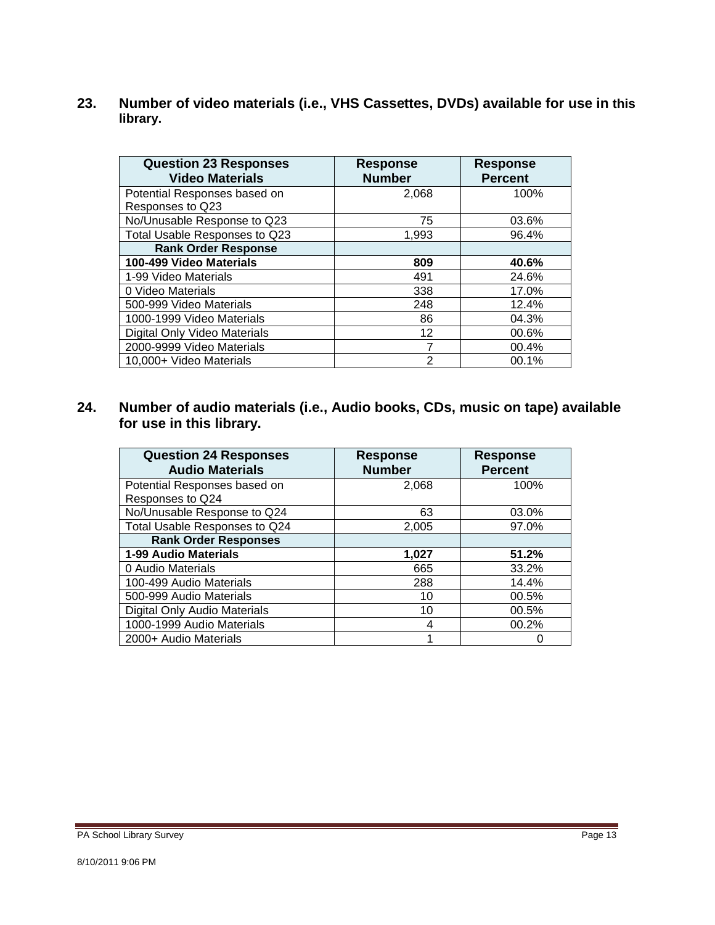**23. Number of video materials (i.e., VHS Cassettes, DVDs) available for use in this library.** 

| <b>Question 23 Responses</b><br><b>Video Materials</b> | <b>Response</b><br><b>Number</b> | <b>Response</b><br><b>Percent</b> |
|--------------------------------------------------------|----------------------------------|-----------------------------------|
| Potential Responses based on                           | 2,068                            | 100%                              |
| Responses to Q23                                       |                                  |                                   |
| No/Unusable Response to Q23                            | 75                               | 03.6%                             |
| Total Usable Responses to Q23                          | 1,993                            | 96.4%                             |
| <b>Rank Order Response</b>                             |                                  |                                   |
| 100-499 Video Materials                                | 809                              | 40.6%                             |
| 1-99 Video Materials                                   | 491                              | 24.6%                             |
| 0 Video Materials                                      | 338                              | 17.0%                             |
| 500-999 Video Materials                                | 248                              | 12.4%                             |
| 1000-1999 Video Materials                              | 86                               | 04.3%                             |
| Digital Only Video Materials                           | 12                               | 00.6%                             |
| 2000-9999 Video Materials                              |                                  | 00.4%                             |
| 10,000+ Video Materials                                | 2                                | 00.1%                             |

**24. Number of audio materials (i.e., Audio books, CDs, music on tape) available for use in this library.** 

| <b>Question 24 Responses</b><br><b>Audio Materials</b> | <b>Response</b><br><b>Number</b> | <b>Response</b><br><b>Percent</b> |
|--------------------------------------------------------|----------------------------------|-----------------------------------|
| Potential Responses based on                           | 2,068                            | 100%                              |
| Responses to Q24                                       |                                  |                                   |
| No/Unusable Response to Q24                            | 63                               | 03.0%                             |
| Total Usable Responses to Q24                          | 2,005                            | 97.0%                             |
| <b>Rank Order Responses</b>                            |                                  |                                   |
| 1-99 Audio Materials                                   | 1,027                            | 51.2%                             |
| 0 Audio Materials                                      | 665                              | 33.2%                             |
| 100-499 Audio Materials                                | 288                              | 14.4%                             |
| 500-999 Audio Materials                                | 10                               | 00.5%                             |
| Digital Only Audio Materials                           | 10                               | 00.5%                             |
| 1000-1999 Audio Materials                              |                                  | 00.2%                             |
| 2000+ Audio Materials                                  |                                  |                                   |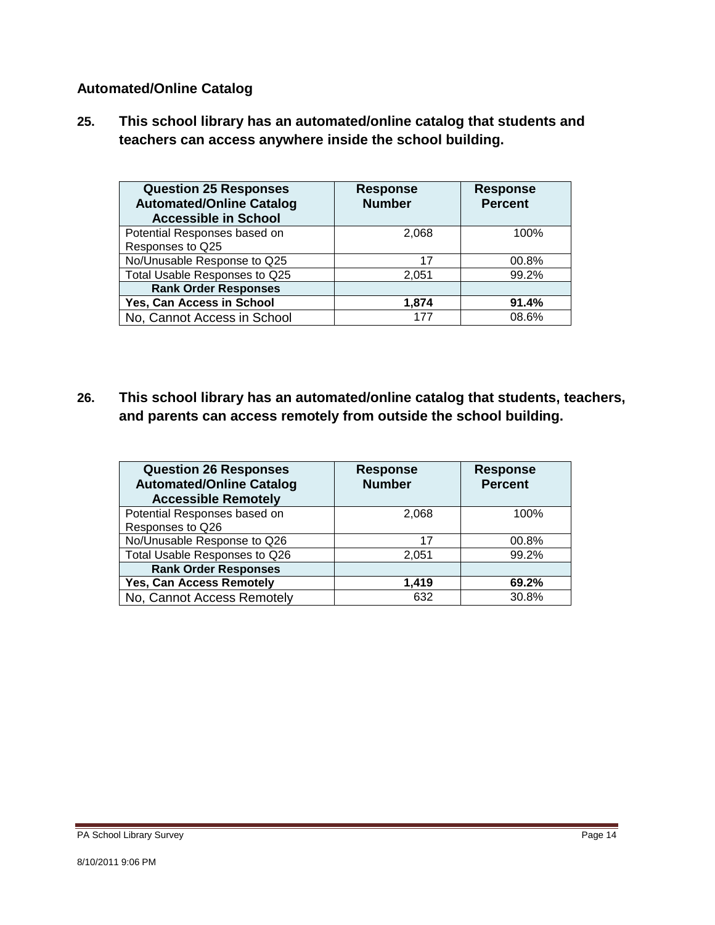#### **Automated/Online Catalog**

**25. This school library has an automated/online catalog that students and teachers can access anywhere inside the school building.** 

| <b>Question 25 Responses</b><br><b>Automated/Online Catalog</b><br><b>Accessible in School</b> | <b>Response</b><br><b>Number</b> | <b>Response</b><br><b>Percent</b> |
|------------------------------------------------------------------------------------------------|----------------------------------|-----------------------------------|
| Potential Responses based on<br>Responses to Q25                                               | 2.068                            | 100%                              |
| No/Unusable Response to Q25                                                                    | 17                               | 00.8%                             |
| Total Usable Responses to Q25                                                                  | 2,051                            | 99.2%                             |
| <b>Rank Order Responses</b>                                                                    |                                  |                                   |
| Yes, Can Access in School                                                                      | 1.874                            | 91.4%                             |
| No, Cannot Access in School                                                                    | 177                              | 08.6%                             |

**26. This school library has an automated/online catalog that students, teachers, and parents can access remotely from outside the school building.** 

| <b>Question 26 Responses</b><br><b>Automated/Online Catalog</b><br><b>Accessible Remotely</b> | <b>Response</b><br><b>Number</b> | <b>Response</b><br><b>Percent</b> |
|-----------------------------------------------------------------------------------------------|----------------------------------|-----------------------------------|
| Potential Responses based on                                                                  | 2,068                            | 100%                              |
| Responses to Q26                                                                              |                                  |                                   |
| No/Unusable Response to Q26                                                                   | 17                               | 00.8%                             |
| Total Usable Responses to Q26                                                                 | 2,051                            | 99.2%                             |
| <b>Rank Order Responses</b>                                                                   |                                  |                                   |
| Yes, Can Access Remotely                                                                      | 1.419                            | 69.2%                             |
| No, Cannot Access Remotely                                                                    | 632                              | 30.8%                             |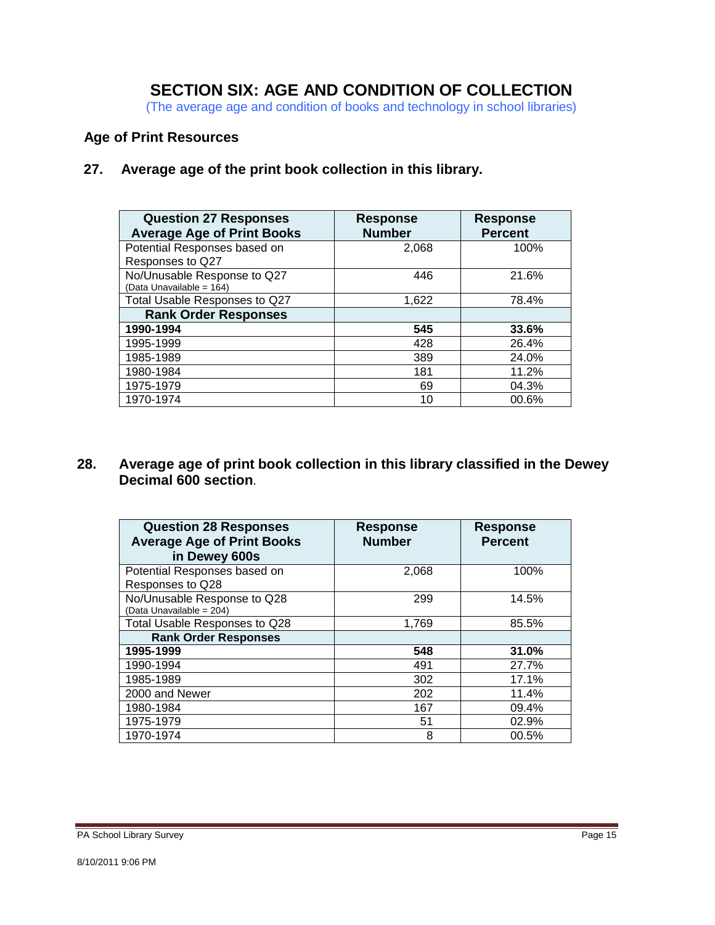### **SECTION SIX: AGE AND CONDITION OF COLLECTION**

(The average age and condition of books and technology in school libraries)

#### **Age of Print Resources**

 **27. Average age of the print book collection in this library.** 

| <b>Question 27 Responses</b><br><b>Average Age of Print Books</b> | <b>Response</b><br><b>Number</b> | <b>Response</b><br><b>Percent</b> |
|-------------------------------------------------------------------|----------------------------------|-----------------------------------|
| Potential Responses based on<br>Responses to Q27                  | 2,068                            | 100%                              |
| No/Unusable Response to Q27<br>(Data Unavailable = 164)           | 446                              | 21.6%                             |
| Total Usable Responses to Q27                                     | 1.622                            | 78.4%                             |
| <b>Rank Order Responses</b>                                       |                                  |                                   |
| 1990-1994                                                         | 545                              | 33.6%                             |
| 1995-1999                                                         | 428                              | 26.4%                             |
| 1985-1989                                                         | 389                              | 24.0%                             |
| 1980-1984                                                         | 181                              | 11.2%                             |
| 1975-1979                                                         | 69                               | 04.3%                             |
| 1970-1974                                                         | 10                               | 00.6%                             |

#### **28. Average age of print book collection in this library classified in the Dewey Decimal 600 section**.

| <b>Question 28 Responses</b><br><b>Average Age of Print Books</b><br>in Dewey 600s | <b>Response</b><br><b>Number</b> | <b>Response</b><br><b>Percent</b> |
|------------------------------------------------------------------------------------|----------------------------------|-----------------------------------|
| Potential Responses based on<br>Responses to Q28                                   | 2,068                            | 100%                              |
| No/Unusable Response to Q28<br>(Data Unavailable = 204)                            | 299                              | 14.5%                             |
| Total Usable Responses to Q28                                                      | 1,769                            | 85.5%                             |
| <b>Rank Order Responses</b>                                                        |                                  |                                   |
| 1995-1999                                                                          | 548                              | 31.0%                             |
| 1990-1994                                                                          | 491                              | 27.7%                             |
| 1985-1989                                                                          | 302                              | 17.1%                             |
| 2000 and Newer                                                                     | 202                              | 11.4%                             |
| 1980-1984                                                                          | 167                              | 09.4%                             |
| 1975-1979                                                                          | 51                               | 02.9%                             |
| 1970-1974                                                                          | 8                                | 00.5%                             |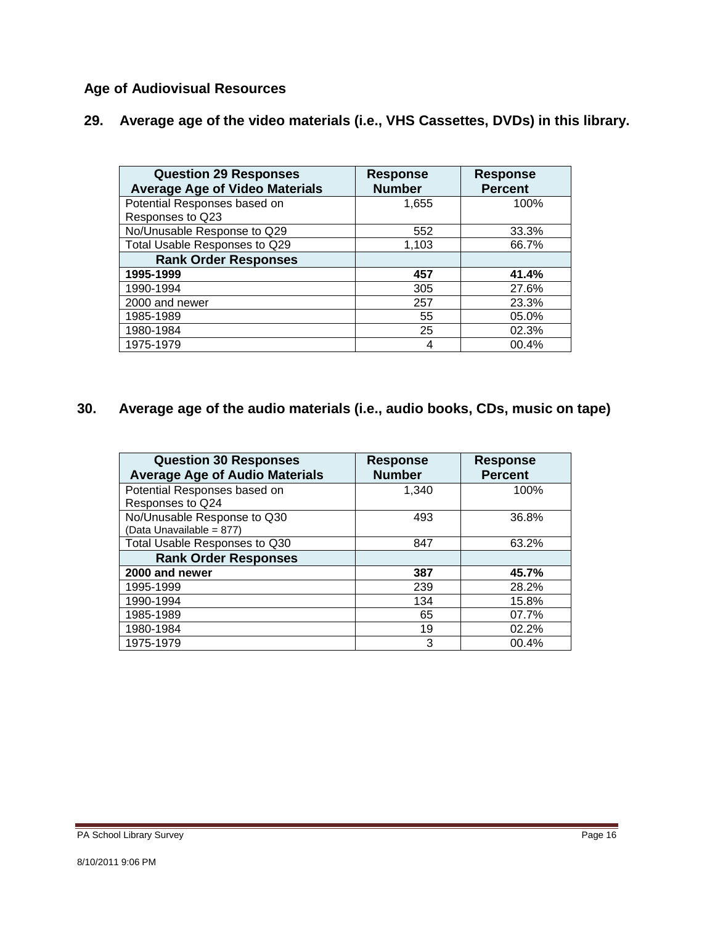### **Age of Audiovisual Resources**

| 29. Average age of the video materials (i.e., VHS Cassettes, DVDs) in this library. |  |  |  |
|-------------------------------------------------------------------------------------|--|--|--|
|                                                                                     |  |  |  |

| <b>Question 29 Responses</b><br><b>Average Age of Video Materials</b> | <b>Response</b><br><b>Number</b> | <b>Response</b><br><b>Percent</b> |
|-----------------------------------------------------------------------|----------------------------------|-----------------------------------|
| Potential Responses based on                                          | 1,655                            | 100%                              |
| Responses to Q23                                                      |                                  |                                   |
| No/Unusable Response to Q29                                           | 552                              | 33.3%                             |
| Total Usable Responses to Q29                                         | 1,103                            | 66.7%                             |
| <b>Rank Order Responses</b>                                           |                                  |                                   |
| 1995-1999                                                             | 457                              | 41.4%                             |
| 1990-1994                                                             | 305                              | 27.6%                             |
| 2000 and newer                                                        | 257                              | 23.3%                             |
| 1985-1989                                                             | 55                               | 05.0%                             |
| 1980-1984                                                             | 25                               | 02.3%                             |
| 1975-1979                                                             |                                  | 00.4%                             |

#### $30.$ **30. Average age of the audio materials (i.e., audio books, CDs, music on tape)**

| <b>Question 30 Responses</b><br><b>Average Age of Audio Materials</b> | <b>Response</b><br><b>Number</b> | <b>Response</b><br><b>Percent</b> |
|-----------------------------------------------------------------------|----------------------------------|-----------------------------------|
| Potential Responses based on                                          | 1.340                            | 100%                              |
| Responses to Q24                                                      |                                  |                                   |
| No/Unusable Response to Q30                                           | 493                              | 36.8%                             |
| (Data Unavailable = 877)                                              |                                  |                                   |
| Total Usable Responses to Q30                                         | 847                              | 63.2%                             |
| <b>Rank Order Responses</b>                                           |                                  |                                   |
| 2000 and newer                                                        | 387                              | 45.7%                             |
| 1995-1999                                                             | 239                              | 28.2%                             |
| 1990-1994                                                             | 134                              | 15.8%                             |
| 1985-1989                                                             | 65                               | 07.7%                             |
| 1980-1984                                                             | 19                               | 02.2%                             |
| 1975-1979                                                             | 3                                | 00.4%                             |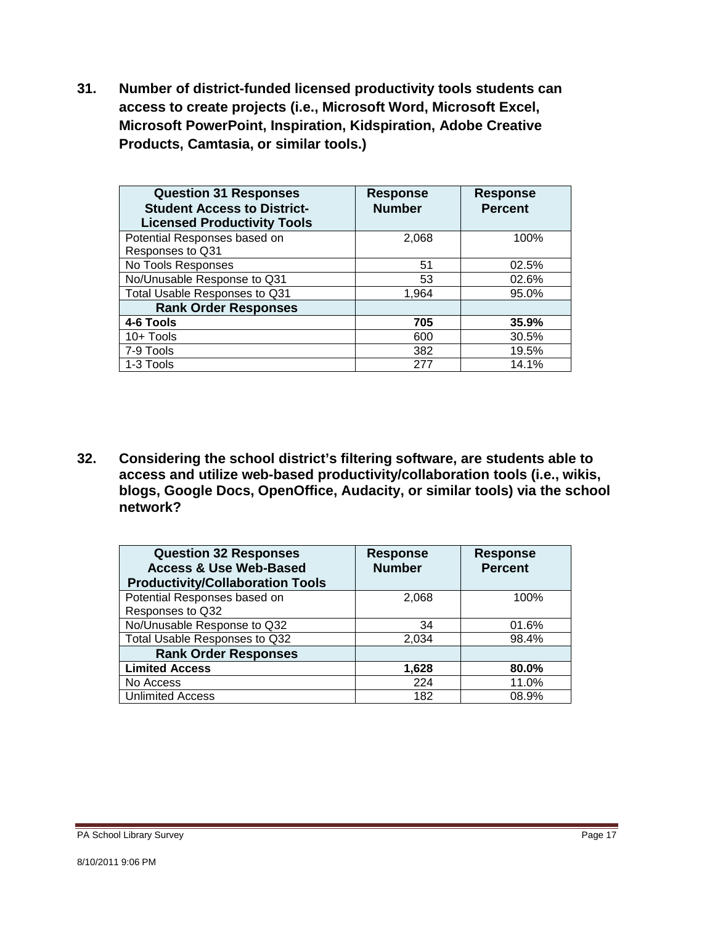**31. Number of district-funded licensed productivity tools students can access to create projects (i.e., Microsoft Word, Microsoft Excel, Microsoft PowerPoint, Inspiration, Kidspiration, Adobe Creative Products, Camtasia, or similar tools.)** 

| <b>Question 31 Responses</b><br><b>Student Access to District-</b><br><b>Licensed Productivity Tools</b> | <b>Response</b><br><b>Number</b> | <b>Response</b><br><b>Percent</b> |
|----------------------------------------------------------------------------------------------------------|----------------------------------|-----------------------------------|
| Potential Responses based on                                                                             | 2,068                            | 100%                              |
| Responses to Q31                                                                                         |                                  |                                   |
| No Tools Responses                                                                                       | 51                               | 02.5%                             |
| No/Unusable Response to Q31                                                                              | 53                               | 02.6%                             |
| Total Usable Responses to Q31                                                                            | 1,964                            | 95.0%                             |
| <b>Rank Order Responses</b>                                                                              |                                  |                                   |
| 4-6 Tools                                                                                                | 705                              | 35.9%                             |
| 10+ Tools                                                                                                | 600                              | 30.5%                             |
| 7-9 Tools                                                                                                | 382                              | 19.5%                             |
| 1-3 Tools                                                                                                | 277                              | 14.1%                             |

**32. Considering the school district's filtering software, are students able to access and utilize web-based productivity/collaboration tools (i.e., wikis, blogs, Google Docs, OpenOffice, Audacity, or similar tools) via the school network?** 

| <b>Question 32 Responses</b><br><b>Access &amp; Use Web-Based</b><br><b>Productivity/Collaboration Tools</b> | <b>Response</b><br><b>Number</b> | <b>Response</b><br><b>Percent</b> |
|--------------------------------------------------------------------------------------------------------------|----------------------------------|-----------------------------------|
| Potential Responses based on                                                                                 | 2,068                            | 100%                              |
| Responses to Q32                                                                                             |                                  |                                   |
| No/Unusable Response to Q32                                                                                  | 34                               | 01.6%                             |
| Total Usable Responses to Q32                                                                                | 2,034                            | 98.4%                             |
| <b>Rank Order Responses</b>                                                                                  |                                  |                                   |
| <b>Limited Access</b>                                                                                        | 1,628                            | 80.0%                             |
| No Access                                                                                                    | 224                              | 11.0%                             |
| <b>Unlimited Access</b>                                                                                      | 182                              | 08.9%                             |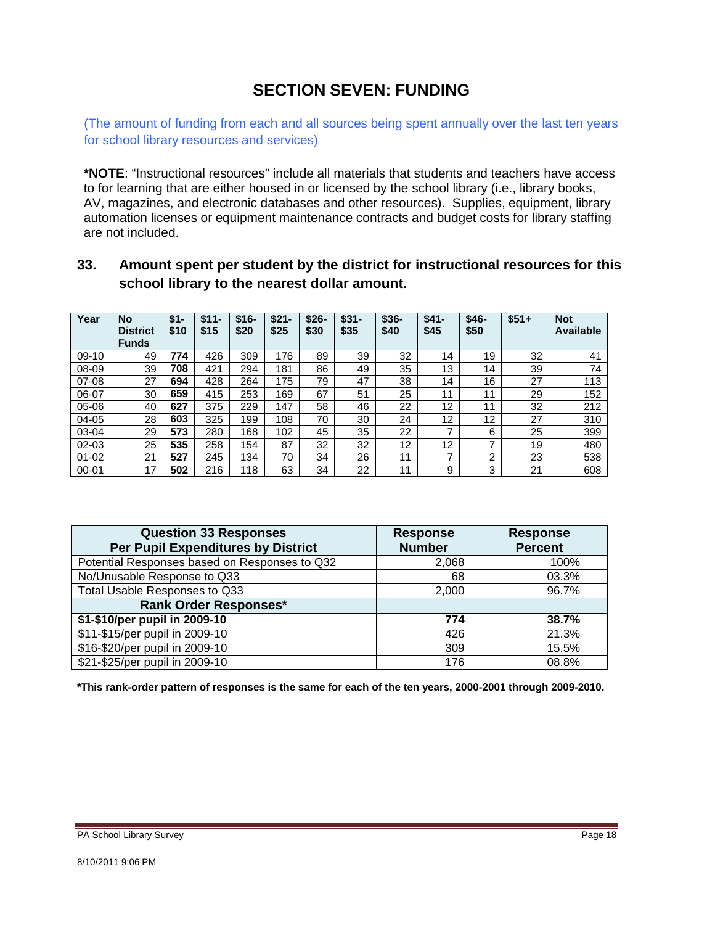### **SECTION SEVEN: FUNDING**

(The amount of funding from each and all sources being spent annually over the last ten years for school library resources and services)

**\*NOTE**: "Instructional resources" include all materials that students and teachers have access to for learning that are either housed in or licensed by the school library (i.e., library books, AV, magazines, and electronic databases and other resources). Supplies, equipment, library automation licenses or equipment maintenance contracts and budget costs for library staffing are not included.

#### **33. Amount spent per student by the district for instructional resources for this school library to the nearest dollar amount.**

| Year      | <b>No</b><br><b>District</b><br><b>Funds</b> | \$1-<br>\$10 | $1-$<br>\$1<br>\$15 | $$16-$<br>\$20 | $$21-$<br>\$25 | $$26-$<br>\$30 | $$31-$<br>\$35 | $$36-$<br>\$40 | $$41-$<br>\$45 | $$46-$<br>\$50 | $$51+$ | <b>Not</b><br><b>Available</b> |
|-----------|----------------------------------------------|--------------|---------------------|----------------|----------------|----------------|----------------|----------------|----------------|----------------|--------|--------------------------------|
| $09-10$   | 49                                           | 774          | 426                 | 309            | 176            | 89             | 39             | 32             | 14             | 19             | 32     | 41                             |
| 08-09     | 39                                           | 708          | 421                 | 294            | 181            | 86             | 49             | 35             | 13             | 14             | 39     | 74                             |
| 07-08     | 27                                           | 694          | 428                 | 264            | 175            | 79             | 47             | 38             | 14             | 16             | 27     | 113                            |
| 06-07     | 30                                           | 659          | 415                 | 253            | 169            | 67             | 51             | 25             | 11             | 11             | 29     | 152                            |
| 05-06     | 40                                           | 627          | 375                 | 229            | 147            | 58             | 46             | 22             | 12             | 11             | 32     | 212                            |
| 04-05     | 28                                           | 603          | 325                 | 199            | 108            | 70             | 30             | 24             | 12             | 12             | 27     | 310                            |
| 03-04     | 29                                           | 573          | 280                 | 168            | 102            | 45             | 35             | 22             | ⇁              | 6              | 25     | 399                            |
| 02-03     | 25                                           | 535          | 258                 | 154            | 87             | 32             | 32             | 12             | 12             | ⇁              | 19     | 480                            |
| $01 - 02$ | 21                                           | 527          | 245                 | 134            | 70             | 34             | 26             | 11             | ⇁              | ົ              | 23     | 538                            |
| $00 - 01$ | 17                                           | 502          | 216                 | 118            | 63             | 34             | 22             | 11             | 9              | 3              | 21     | 608                            |

| <b>Question 33 Responses</b><br><b>Per Pupil Expenditures by District</b> | <b>Response</b><br><b>Number</b> | <b>Response</b><br><b>Percent</b> |
|---------------------------------------------------------------------------|----------------------------------|-----------------------------------|
| Potential Responses based on Responses to Q32                             | 2,068                            | 100%                              |
| No/Unusable Response to Q33                                               | 68                               | 03.3%                             |
| Total Usable Responses to Q33                                             | 2,000                            | 96.7%                             |
| <b>Rank Order Responses*</b>                                              |                                  |                                   |
| \$1-\$10/per pupil in 2009-10                                             | 774                              | 38.7%                             |
| \$11-\$15/per pupil in 2009-10                                            | 426                              | 21.3%                             |
| \$16-\$20/per pupil in 2009-10                                            | 309                              | 15.5%                             |
| \$21-\$25/per pupil in 2009-10                                            | 176                              | 08.8%                             |

**\*This rank-order pattern of responses is the same for each of the ten years, 2000-2001 through 2009-2010.**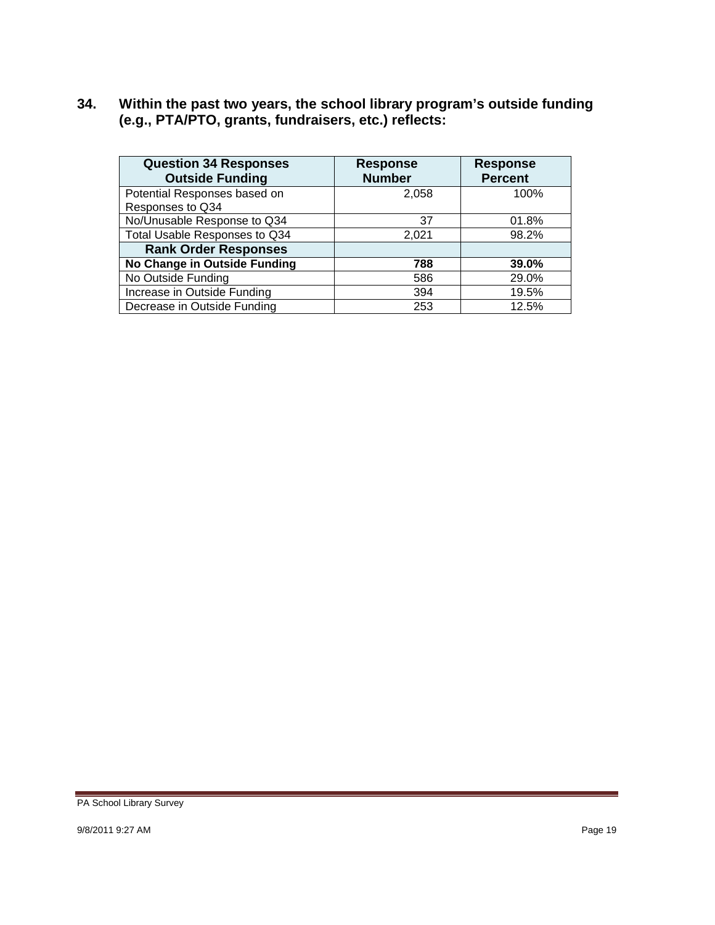**34. Within the past two years, the school library program's outside funding (e.g., PTA/PTO, grants, fundraisers, etc.) reflects:** 

| <b>Question 34 Responses</b><br><b>Outside Funding</b> | <b>Response</b><br><b>Number</b> | <b>Response</b><br><b>Percent</b> |
|--------------------------------------------------------|----------------------------------|-----------------------------------|
| Potential Responses based on<br>Responses to Q34       | 2.058                            | 100%                              |
| No/Unusable Response to Q34                            | 37                               | 01.8%                             |
| Total Usable Responses to Q34                          | 2,021                            | 98.2%                             |
| <b>Rank Order Responses</b>                            |                                  |                                   |
| No Change in Outside Funding                           | 788                              | 39.0%                             |
| No Outside Funding                                     | 586                              | 29.0%                             |
| Increase in Outside Funding                            | 394                              | 19.5%                             |
| Decrease in Outside Funding                            | 253                              | 12.5%                             |

PA School Library Survey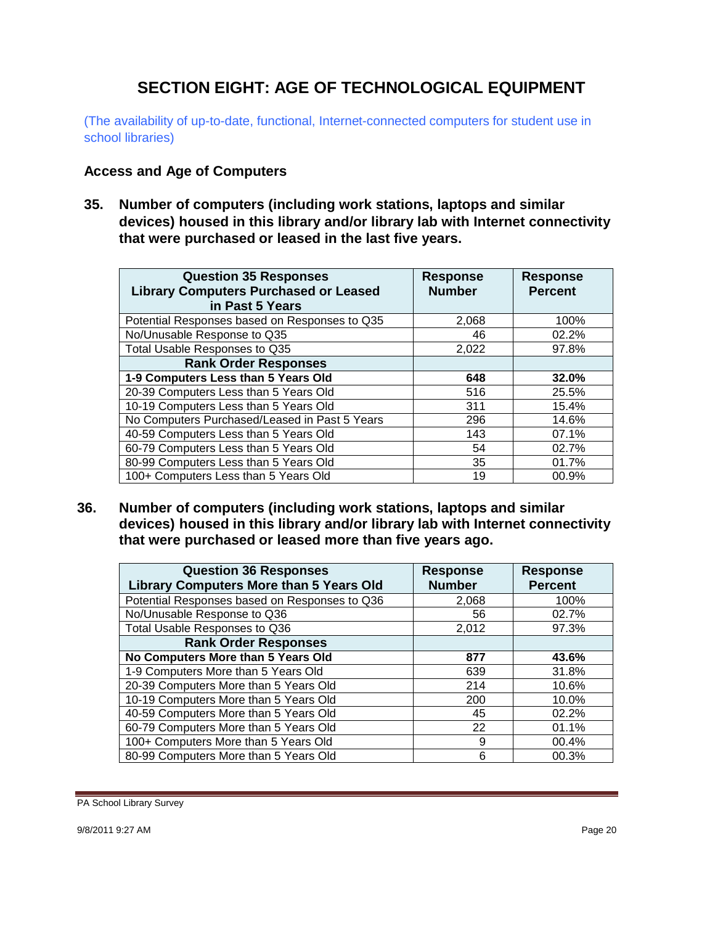## **SECTION EIGHT: AGE OF TECHNOLOGICAL EQUIPMENT**

(The availability of up-to-date, functional, Internet-connected computers for student use in school libraries)

#### **Access and Age of Computers**

**35. Number of computers (including work stations, laptops and similar devices) housed in this library and/or library lab with Internet connectivity that were purchased or leased in the last five years.** 

| <b>Question 35 Responses</b><br><b>Library Computers Purchased or Leased</b><br>in Past 5 Years | <b>Response</b><br><b>Number</b> | <b>Response</b><br><b>Percent</b> |
|-------------------------------------------------------------------------------------------------|----------------------------------|-----------------------------------|
| Potential Responses based on Responses to Q35                                                   | 2,068                            | 100%                              |
| No/Unusable Response to Q35                                                                     | 46                               | 02.2%                             |
| Total Usable Responses to Q35                                                                   | 2.022                            | 97.8%                             |
| <b>Rank Order Responses</b>                                                                     |                                  |                                   |
| 1-9 Computers Less than 5 Years Old                                                             | 648                              | 32.0%                             |
| 20-39 Computers Less than 5 Years Old                                                           | 516                              | 25.5%                             |
| 10-19 Computers Less than 5 Years Old                                                           | 311                              | 15.4%                             |
| No Computers Purchased/Leased in Past 5 Years                                                   | 296                              | 14.6%                             |
| 40-59 Computers Less than 5 Years Old                                                           | 143                              | 07.1%                             |
| 60-79 Computers Less than 5 Years Old                                                           | 54                               | 02.7%                             |
| 80-99 Computers Less than 5 Years Old                                                           | 35                               | 01.7%                             |
| 100+ Computers Less than 5 Years Old                                                            | 19                               | 00.9%                             |

**36. Number of computers (including work stations, laptops and similar devices) housed in this library and/or library lab with Internet connectivity that were purchased or leased more than five years ago.** 

| <b>Question 36 Responses</b><br><b>Library Computers More than 5 Years Old</b> | <b>Response</b><br><b>Number</b> | <b>Response</b><br><b>Percent</b> |
|--------------------------------------------------------------------------------|----------------------------------|-----------------------------------|
| Potential Responses based on Responses to Q36                                  | 2,068                            | 100%                              |
| No/Unusable Response to Q36                                                    | 56                               | 02.7%                             |
| Total Usable Responses to Q36                                                  | 2,012                            | 97.3%                             |
| <b>Rank Order Responses</b>                                                    |                                  |                                   |
| No Computers More than 5 Years Old                                             | 877                              | 43.6%                             |
| 1-9 Computers More than 5 Years Old                                            | 639                              | 31.8%                             |
| 20-39 Computers More than 5 Years Old                                          | 214                              | 10.6%                             |
| 10-19 Computers More than 5 Years Old                                          | 200                              | 10.0%                             |
| 40-59 Computers More than 5 Years Old                                          | 45                               | 02.2%                             |
| 60-79 Computers More than 5 Years Old                                          | 22                               | 01.1%                             |
| 100+ Computers More than 5 Years Old                                           | 9                                | 00.4%                             |
| 80-99 Computers More than 5 Years Old                                          | 6                                | 00.3%                             |

PA School Library Survey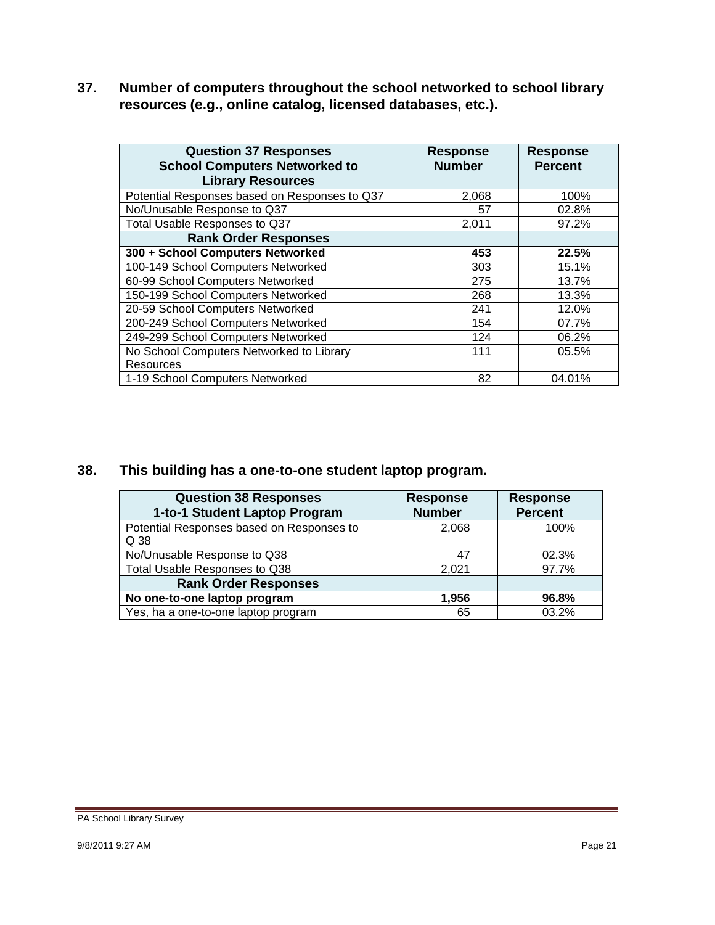**37. Number of computers throughout the school networked to school library resources (e.g., online catalog, licensed databases, etc.).** 

| <b>Question 37 Responses</b><br><b>School Computers Networked to</b><br><b>Library Resources</b> | <b>Response</b><br><b>Number</b> | <b>Response</b><br><b>Percent</b> |
|--------------------------------------------------------------------------------------------------|----------------------------------|-----------------------------------|
| Potential Responses based on Responses to Q37                                                    | 2,068                            | 100%                              |
| No/Unusable Response to Q37                                                                      | 57                               | 02.8%                             |
| Total Usable Responses to Q37                                                                    | 2,011                            | 97.2%                             |
| <b>Rank Order Responses</b>                                                                      |                                  |                                   |
| 300 + School Computers Networked                                                                 | 453                              | 22.5%                             |
| 100-149 School Computers Networked                                                               | 303                              | 15.1%                             |
| 60-99 School Computers Networked                                                                 | 275                              | 13.7%                             |
| 150-199 School Computers Networked                                                               | 268                              | 13.3%                             |
| 20-59 School Computers Networked                                                                 | 241                              | 12.0%                             |
| 200-249 School Computers Networked                                                               | 154                              | 07.7%                             |
| 249-299 School Computers Networked                                                               | 124                              | 06.2%                             |
| No School Computers Networked to Library                                                         | 111                              | 05.5%                             |
| <b>Resources</b>                                                                                 |                                  |                                   |
| 1-19 School Computers Networked                                                                  | 82                               | 04.01%                            |

#### **38. This building has a one-to-one student laptop program.**

| <b>Question 38 Responses</b><br>1-to-1 Student Laptop Program | <b>Response</b><br><b>Number</b> | <b>Response</b><br><b>Percent</b> |
|---------------------------------------------------------------|----------------------------------|-----------------------------------|
| Potential Responses based on Responses to<br>Q 38             | 2,068                            | 100%                              |
| No/Unusable Response to Q38                                   | -47                              | 02.3%                             |
| Total Usable Responses to Q38                                 | 2,021                            | 97.7%                             |
| <b>Rank Order Responses</b>                                   |                                  |                                   |
| No one-to-one laptop program                                  | 1.956                            | 96.8%                             |
| Yes, ha a one-to-one laptop program                           | 65                               | 03.2%                             |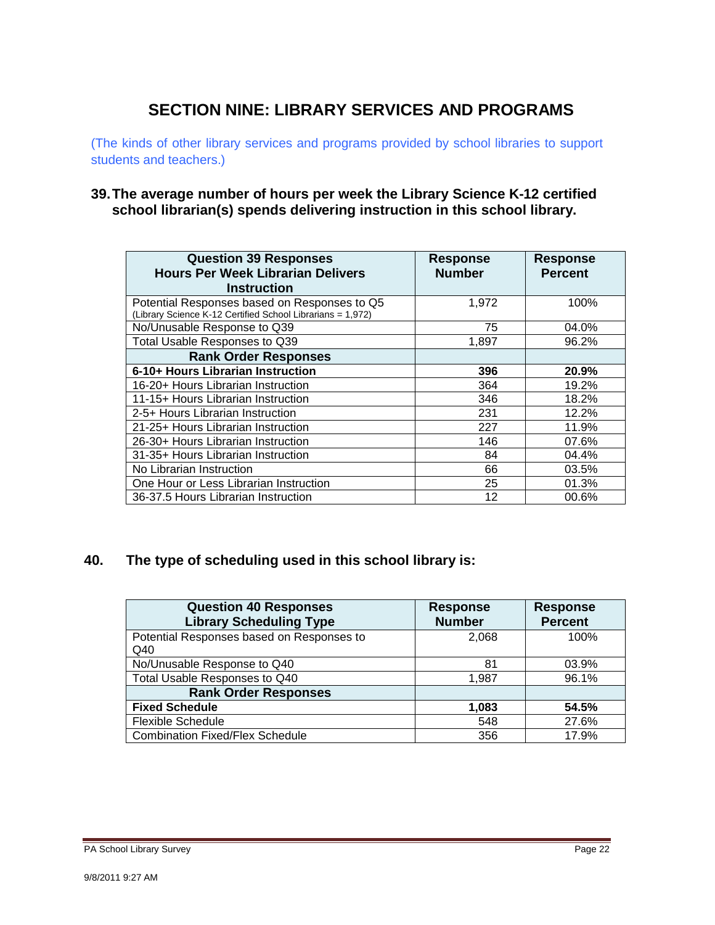## **SECTION NINE: LIBRARY SERVICES AND PROGRAMS**

(The kinds of other library services and programs provided by school libraries to support students and teachers.)

#### **39.The average number of hours per week the Library Science K-12 certified school librarian(s) spends delivering instruction in this school library.**

| <b>Question 39 Responses</b><br><b>Hours Per Week Librarian Delivers</b><br><b>Instruction</b>             | <b>Response</b><br><b>Number</b> | <b>Response</b><br><b>Percent</b> |
|------------------------------------------------------------------------------------------------------------|----------------------------------|-----------------------------------|
| Potential Responses based on Responses to Q5<br>(Library Science K-12 Certified School Librarians = 1,972) | 1,972                            | 100%                              |
| No/Unusable Response to Q39                                                                                | 75                               | 04.0%                             |
| Total Usable Responses to Q39                                                                              | 1,897                            | 96.2%                             |
| <b>Rank Order Responses</b>                                                                                |                                  |                                   |
| 6-10+ Hours Librarian Instruction                                                                          | 396                              | 20.9%                             |
| 16-20+ Hours Librarian Instruction                                                                         | 364                              | 19.2%                             |
| 11-15+ Hours Librarian Instruction                                                                         | 346                              | 18.2%                             |
| 2-5+ Hours Librarian Instruction                                                                           | 231                              | 12.2%                             |
| 21-25+ Hours Librarian Instruction                                                                         | 227                              | 11.9%                             |
| 26-30+ Hours Librarian Instruction                                                                         | 146                              | 07.6%                             |
| 31-35+ Hours Librarian Instruction                                                                         | 84                               | 04.4%                             |
| No Librarian Instruction                                                                                   | 66                               | 03.5%                             |
| One Hour or Less Librarian Instruction                                                                     | 25                               | 01.3%                             |
| 36-37.5 Hours Librarian Instruction                                                                        | 12                               | 00.6%                             |

### **40. The type of scheduling used in this school library is:**

| <b>Question 40 Responses</b><br><b>Library Scheduling Type</b> | <b>Response</b><br><b>Number</b> | <b>Response</b><br><b>Percent</b> |
|----------------------------------------------------------------|----------------------------------|-----------------------------------|
| Potential Responses based on Responses to<br>Q40               | 2.068                            | 100%                              |
| No/Unusable Response to Q40                                    | 81                               | 03.9%                             |
| Total Usable Responses to Q40                                  | 1,987                            | 96.1%                             |
| <b>Rank Order Responses</b>                                    |                                  |                                   |
| <b>Fixed Schedule</b>                                          | 1,083                            | 54.5%                             |
| <b>Flexible Schedule</b>                                       | 548                              | 27.6%                             |
| <b>Combination Fixed/Flex Schedule</b>                         | 356                              | 17.9%                             |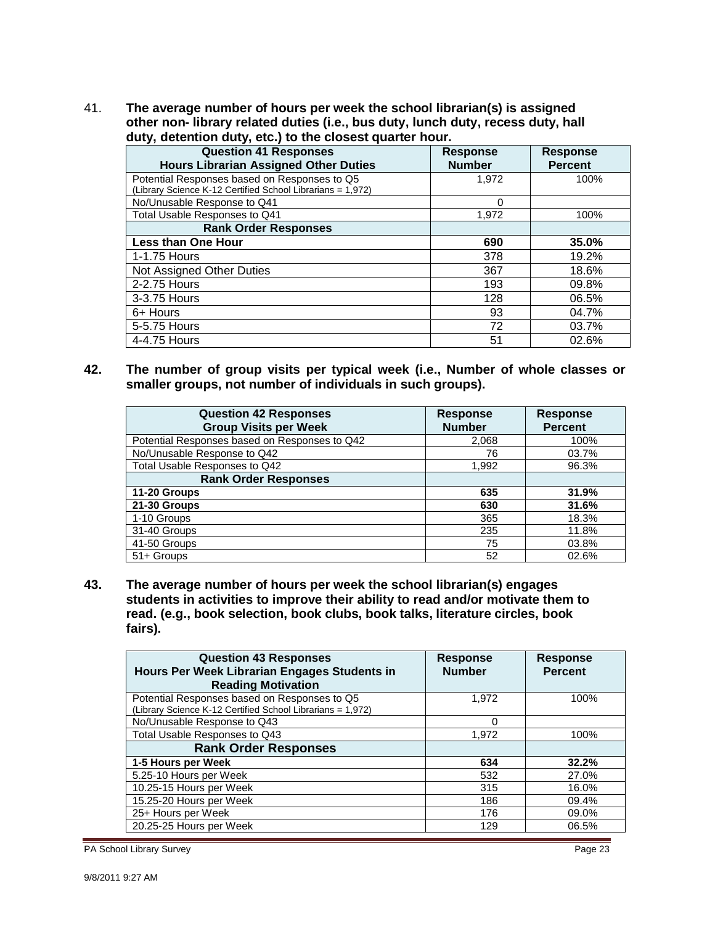41. **The average number of hours per week the school librarian(s) is assigned other non- library related duties (i.e., bus duty, lunch duty, recess duty, hall duty, detention duty, etc.) to the closest quarter hour.** 

| <b>Question 41 Responses</b><br><b>Hours Librarian Assigned Other Duties</b>                               | <b>Response</b><br><b>Number</b> | <b>Response</b><br><b>Percent</b> |
|------------------------------------------------------------------------------------------------------------|----------------------------------|-----------------------------------|
| Potential Responses based on Responses to Q5<br>(Library Science K-12 Certified School Librarians = 1,972) | 1,972                            | 100%                              |
| No/Unusable Response to Q41                                                                                | 0                                |                                   |
| Total Usable Responses to Q41                                                                              | 1,972                            | 100%                              |
| <b>Rank Order Responses</b>                                                                                |                                  |                                   |
| <b>Less than One Hour</b>                                                                                  | 690                              | 35.0%                             |
| 1-1.75 Hours                                                                                               | 378                              | 19.2%                             |
| Not Assigned Other Duties                                                                                  | 367                              | 18.6%                             |
| 2-2.75 Hours                                                                                               | 193                              | 09.8%                             |
| 3-3.75 Hours                                                                                               | 128                              | 06.5%                             |
| 6+ Hours                                                                                                   | 93                               | 04.7%                             |
| 5-5.75 Hours                                                                                               | 72                               | 03.7%                             |
| 4-4.75 Hours                                                                                               | 51                               | 02.6%                             |

**42. The number of group visits per typical week (i.e., Number of whole classes or smaller groups, not number of individuals in such groups).** 

| <b>Question 42 Responses</b><br><b>Group Visits per Week</b> | <b>Response</b><br><b>Number</b> | <b>Response</b><br><b>Percent</b> |
|--------------------------------------------------------------|----------------------------------|-----------------------------------|
| Potential Responses based on Responses to Q42                | 2,068                            | 100%                              |
| No/Unusable Response to Q42                                  | 76                               | 03.7%                             |
| Total Usable Responses to Q42                                | 1,992                            | 96.3%                             |
| <b>Rank Order Responses</b>                                  |                                  |                                   |
| 11-20 Groups                                                 | 635                              | 31.9%                             |
| 21-30 Groups                                                 | 630                              | 31.6%                             |
| 1-10 Groups                                                  | 365                              | 18.3%                             |
| 31-40 Groups                                                 | 235                              | 11.8%                             |
| 41-50 Groups                                                 | 75                               | 03.8%                             |
| 51+ Groups                                                   | 52                               | 02.6%                             |

**43. The average number of hours per week the school librarian(s) engages students in activities to improve their ability to read and/or motivate them to read. (e.g., book selection, book clubs, book talks, literature circles, book fairs).** 

| <b>Question 43 Responses</b><br>Hours Per Week Librarian Engages Students in<br><b>Reading Motivation</b>  | <b>Response</b><br><b>Number</b> | <b>Response</b><br><b>Percent</b> |
|------------------------------------------------------------------------------------------------------------|----------------------------------|-----------------------------------|
| Potential Responses based on Responses to Q5<br>(Library Science K-12 Certified School Librarians = 1,972) | 1,972                            | 100%                              |
| No/Unusable Response to Q43                                                                                | ∩                                |                                   |
| Total Usable Responses to Q43                                                                              | 1,972                            | 100%                              |
| <b>Rank Order Responses</b>                                                                                |                                  |                                   |
| 1-5 Hours per Week                                                                                         | 634                              | 32.2%                             |
| 5.25-10 Hours per Week                                                                                     | 532                              | 27.0%                             |
| 10.25-15 Hours per Week                                                                                    | 315                              | 16.0%                             |
| 15.25-20 Hours per Week                                                                                    | 186                              | 09.4%                             |
| 25+ Hours per Week                                                                                         | 176                              | 09.0%                             |
| 20.25-25 Hours per Week                                                                                    | 129                              | 06.5%                             |

PA School Library Survey **Page 23** Page 23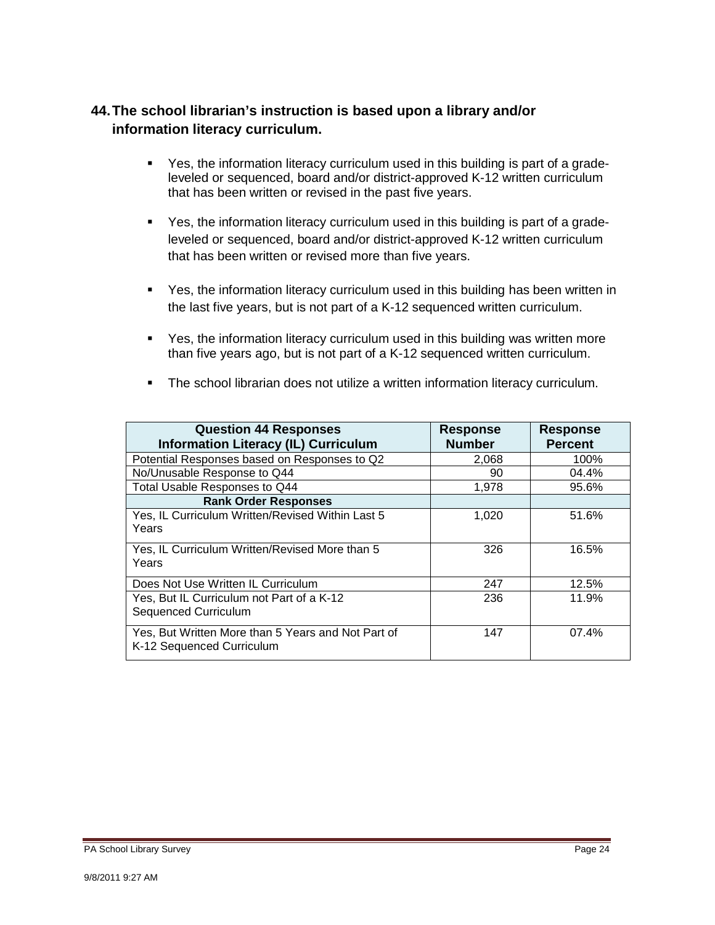### **44.The school librarian's instruction is based upon a library and/or information literacy curriculum.**

- Yes, the information literacy curriculum used in this building is part of a gradeleveled or sequenced, board and/or district-approved K-12 written curriculum that has been written or revised in the past five years.
- Yes, the information literacy curriculum used in this building is part of a gradeleveled or sequenced, board and/or district-approved K-12 written curriculum that has been written or revised more than five years.
- Yes, the information literacy curriculum used in this building has been written in the last five years, but is not part of a K-12 sequenced written curriculum.
- Yes, the information literacy curriculum used in this building was written more than five years ago, but is not part of a K-12 sequenced written curriculum.

| <b>Question 44 Responses</b><br><b>Information Literacy (IL) Curriculum</b>     | <b>Response</b><br><b>Number</b> | <b>Response</b><br><b>Percent</b> |
|---------------------------------------------------------------------------------|----------------------------------|-----------------------------------|
| Potential Responses based on Responses to Q2                                    | 2,068                            | 100%                              |
| No/Unusable Response to Q44                                                     | 90                               | 04.4%                             |
| Total Usable Responses to Q44                                                   | 1.978                            | 95.6%                             |
| <b>Rank Order Responses</b>                                                     |                                  |                                   |
| Yes, IL Curriculum Written/Revised Within Last 5<br>Years                       | 1,020                            | 51.6%                             |
| Yes, IL Curriculum Written/Revised More than 5<br>Years                         | 326                              | 16.5%                             |
| Does Not Use Written IL Curriculum                                              | 247                              | 12.5%                             |
| Yes, But IL Curriculum not Part of a K-12<br><b>Sequenced Curriculum</b>        | 236                              | 11.9%                             |
| Yes, But Written More than 5 Years and Not Part of<br>K-12 Sequenced Curriculum | 147                              | 07.4%                             |

**The school librarian does not utilize a written information literacy curriculum.**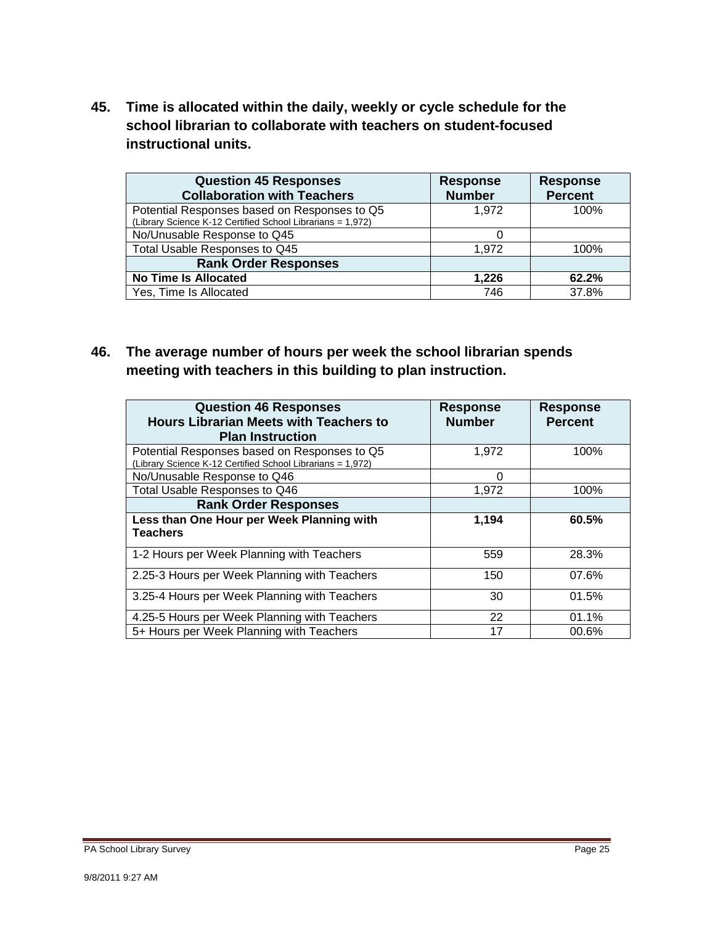**45. Time is allocated within the daily, weekly or cycle schedule for the school librarian to collaborate with teachers on student-focused instructional units.** 

| <b>Question 45 Responses</b><br><b>Collaboration with Teachers</b>                                         | <b>Response</b><br><b>Number</b> | <b>Response</b><br><b>Percent</b> |
|------------------------------------------------------------------------------------------------------------|----------------------------------|-----------------------------------|
| Potential Responses based on Responses to Q5<br>(Library Science K-12 Certified School Librarians = 1,972) | 1.972                            | 100%                              |
| No/Unusable Response to Q45                                                                                |                                  |                                   |
| Total Usable Responses to Q45                                                                              | 1.972                            | 100%                              |
| <b>Rank Order Responses</b>                                                                                |                                  |                                   |
| <b>No Time Is Allocated</b>                                                                                | 1,226                            | 62.2%                             |
| Yes, Time Is Allocated                                                                                     | 746                              | 37.8%                             |

**46. The average number of hours per week the school librarian spends meeting with teachers in this building to plan instruction.** 

| <b>Question 46 Responses</b><br><b>Hours Librarian Meets with Teachers to</b><br><b>Plan Instruction</b>   | <b>Response</b><br><b>Number</b> | <b>Response</b><br><b>Percent</b> |
|------------------------------------------------------------------------------------------------------------|----------------------------------|-----------------------------------|
| Potential Responses based on Responses to Q5<br>(Library Science K-12 Certified School Librarians = 1,972) | 1.972                            | 100%                              |
| No/Unusable Response to Q46                                                                                | $\Omega$                         |                                   |
| Total Usable Responses to Q46                                                                              | 1,972                            | 100%                              |
| <b>Rank Order Responses</b>                                                                                |                                  |                                   |
| Less than One Hour per Week Planning with<br><b>Teachers</b>                                               | 1,194                            | 60.5%                             |
| 1-2 Hours per Week Planning with Teachers                                                                  | 559                              | 28.3%                             |
| 2.25-3 Hours per Week Planning with Teachers                                                               | 150                              | 07.6%                             |
| 3.25-4 Hours per Week Planning with Teachers                                                               | 30                               | 01.5%                             |
| 4.25-5 Hours per Week Planning with Teachers                                                               | 22                               | 01.1%                             |
| 5+ Hours per Week Planning with Teachers                                                                   | 17                               | 00.6%                             |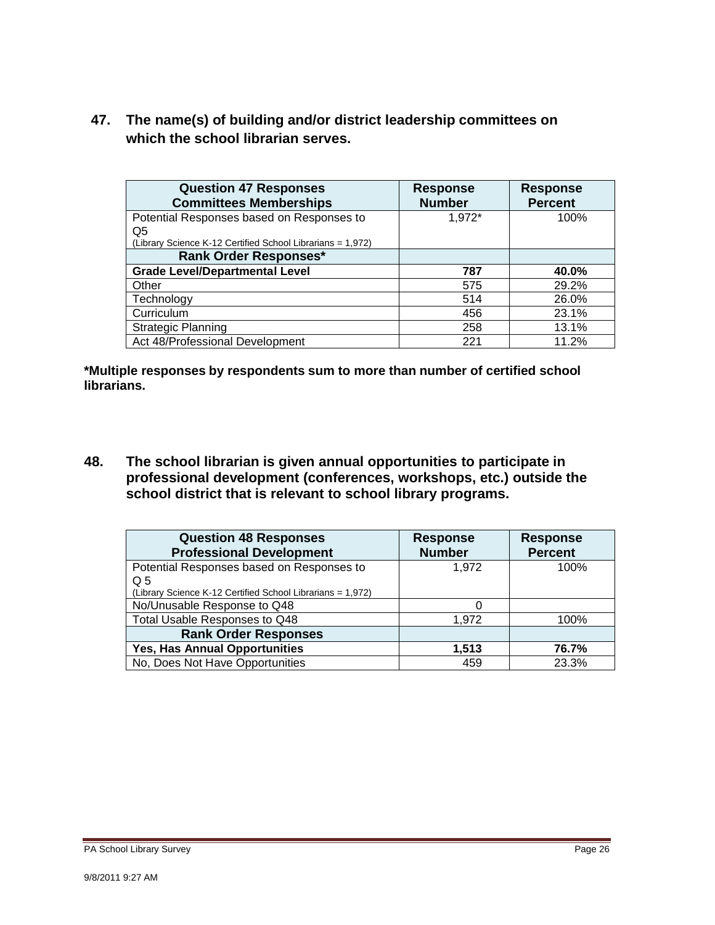**47. The name(s) of building and/or district leadership committees on which the school librarian serves.** 

| <b>Question 47 Responses</b><br><b>Committees Memberships</b> | <b>Response</b><br><b>Number</b> | <b>Response</b><br><b>Percent</b> |
|---------------------------------------------------------------|----------------------------------|-----------------------------------|
| Potential Responses based on Responses to                     | 1,972*                           | 100%                              |
| Q5                                                            |                                  |                                   |
| (Library Science K-12 Certified School Librarians = 1,972)    |                                  |                                   |
| <b>Rank Order Responses*</b>                                  |                                  |                                   |
| <b>Grade Level/Departmental Level</b>                         | 787                              | 40.0%                             |
| Other                                                         | 575                              | 29.2%                             |
| Technology                                                    | 514                              | 26.0%                             |
| Curriculum                                                    | 456                              | 23.1%                             |
| <b>Strategic Planning</b>                                     | 258                              | 13.1%                             |
| Act 48/Professional Development                               | 221                              | 11.2%                             |

**\*Multiple responses by respondents sum to more than number of certified school librarians.** 

**48. The school librarian is given annual opportunities to participate in professional development (conferences, workshops, etc.) outside the school district that is relevant to school library programs.** 

| <b>Question 48 Responses</b><br><b>Professional Development</b> | <b>Response</b><br><b>Number</b> | <b>Response</b><br><b>Percent</b> |
|-----------------------------------------------------------------|----------------------------------|-----------------------------------|
| Potential Responses based on Responses to<br>$\Omega$ 5         | 1,972                            | 100%                              |
| (Library Science K-12 Certified School Librarians = 1,972)      |                                  |                                   |
| No/Unusable Response to Q48                                     |                                  |                                   |
| Total Usable Responses to Q48                                   | 1,972                            | 100%                              |
| <b>Rank Order Responses</b>                                     |                                  |                                   |
| <b>Yes, Has Annual Opportunities</b>                            | 1,513                            | 76.7%                             |
| No, Does Not Have Opportunities                                 | 459                              | 23.3%                             |

9/8/2011 9:27 AM